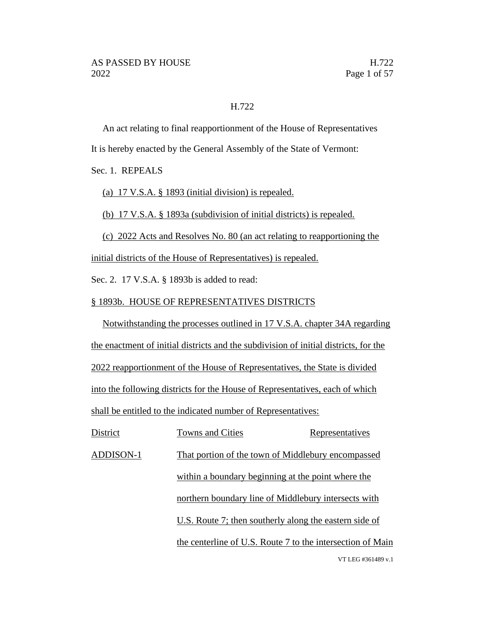#### H.722

An act relating to final reapportionment of the House of Representatives It is hereby enacted by the General Assembly of the State of Vermont:

Sec. 1. REPEALS

(a) 17 V.S.A. § 1893 (initial division) is repealed.

(b) 17 V.S.A. § 1893a (subdivision of initial districts) is repealed.

(c) 2022 Acts and Resolves No. 80 (an act relating to reapportioning the

initial districts of the House of Representatives) is repealed.

Sec. 2. 17 V.S.A. § 1893b is added to read:

#### § 1893b. HOUSE OF REPRESENTATIVES DISTRICTS

Notwithstanding the processes outlined in 17 V.S.A. chapter 34A regarding the enactment of initial districts and the subdivision of initial districts, for the 2022 reapportionment of the House of Representatives, the State is divided into the following districts for the House of Representatives, each of which shall be entitled to the indicated number of Representatives:

VT LEG #361489 v.1 District Towns and Cities Representatives ADDISON-1 That portion of the town of Middlebury encompassed within a boundary beginning at the point where the northern boundary line of Middlebury intersects with U.S. Route 7; then southerly along the eastern side of the centerline of U.S. Route 7 to the intersection of Main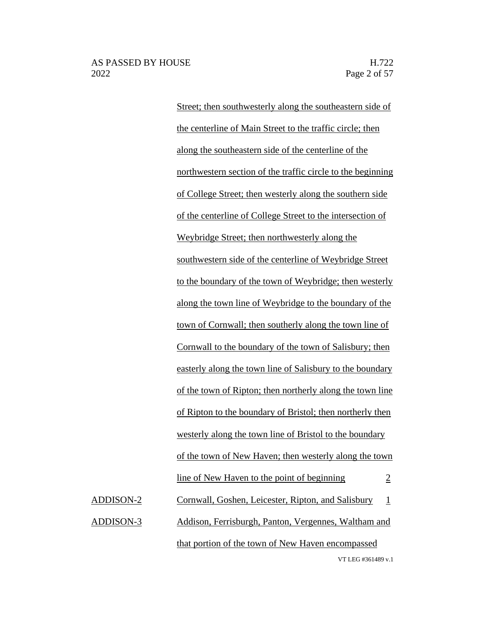VT LEG #361489 v.1 Street; then southwesterly along the southeastern side of the centerline of Main Street to the traffic circle; then along the southeastern side of the centerline of the northwestern section of the traffic circle to the beginning of College Street; then westerly along the southern side of the centerline of College Street to the intersection of Weybridge Street; then northwesterly along the southwestern side of the centerline of Weybridge Street to the boundary of the town of Weybridge; then westerly along the town line of Weybridge to the boundary of the town of Cornwall; then southerly along the town line of Cornwall to the boundary of the town of Salisbury; then easterly along the town line of Salisbury to the boundary of the town of Ripton; then northerly along the town line of Ripton to the boundary of Bristol; then northerly then westerly along the town line of Bristol to the boundary of the town of New Haven; then westerly along the town line of New Haven to the point of beginning 2 ADDISON-2 Cornwall, Goshen, Leicester, Ripton, and Salisbury 1 ADDISON-3 Addison, Ferrisburgh, Panton, Vergennes, Waltham and that portion of the town of New Haven encompassed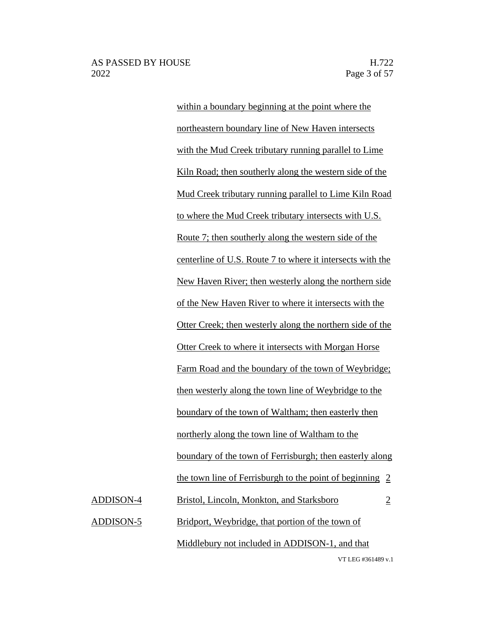VT LEG #361489 v.1 within a boundary beginning at the point where the northeastern boundary line of New Haven intersects with the Mud Creek tributary running parallel to Lime Kiln Road; then southerly along the western side of the Mud Creek tributary running parallel to Lime Kiln Road to where the Mud Creek tributary intersects with U.S. Route 7; then southerly along the western side of the centerline of U.S. Route 7 to where it intersects with the New Haven River; then westerly along the northern side of the New Haven River to where it intersects with the Otter Creek; then westerly along the northern side of the Otter Creek to where it intersects with Morgan Horse Farm Road and the boundary of the town of Weybridge; then westerly along the town line of Weybridge to the boundary of the town of Waltham; then easterly then northerly along the town line of Waltham to the boundary of the town of Ferrisburgh; then easterly along the town line of Ferrisburgh to the point of beginning 2 ADDISON-4 Bristol, Lincoln, Monkton, and Starksboro 2 ADDISON-5 Bridport, Weybridge, that portion of the town of Middlebury not included in ADDISON-1, and that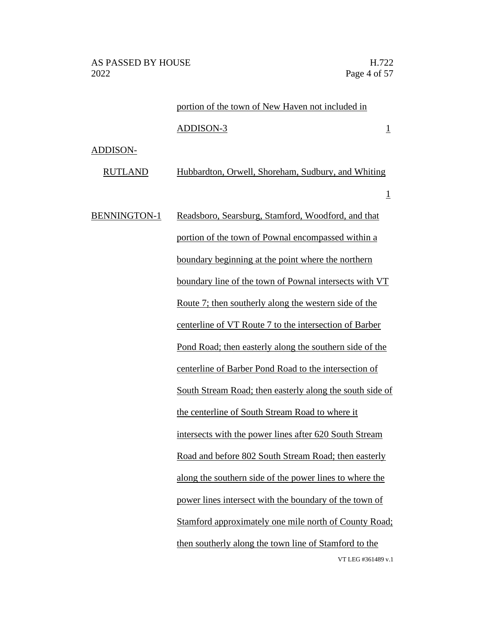|                     | portion of the town of New Haven not included in                            |
|---------------------|-----------------------------------------------------------------------------|
|                     | ADDISON-3<br>$\overline{1}$                                                 |
| ADDISON-            |                                                                             |
| <b>RUTLAND</b>      | Hubbardton, Orwell, Shoreham, Sudbury, and Whiting                          |
|                     | $\overline{\mathbb{1}}$                                                     |
| <b>BENNINGTON-1</b> | Readsboro, Searsburg, Stamford, Woodford, and that                          |
|                     | portion of the town of Pownal encompassed within a                          |
|                     | boundary beginning at the point where the northern                          |
|                     | boundary line of the town of Pownal intersects with VT                      |
|                     | Route 7; then southerly along the western side of the                       |
|                     | centerline of VT Route 7 to the intersection of Barber                      |
|                     | Pond Road; then easterly along the southern side of the                     |
|                     | centerline of Barber Pond Road to the intersection of                       |
|                     | South Stream Road; then easterly along the south side of                    |
|                     | the centerline of South Stream Road to where it                             |
|                     | intersects with the power lines after 620 South Stream                      |
|                     | Road and before 802 South Stream Road; then easterly                        |
|                     | along the southern side of the power lines to where the                     |
|                     | power lines intersect with the boundary of the town of                      |
|                     | <b>Stamford approximately one mile north of County Road:</b>                |
|                     | then southerly along the town line of Stamford to the<br>VT LEG #361489 v.1 |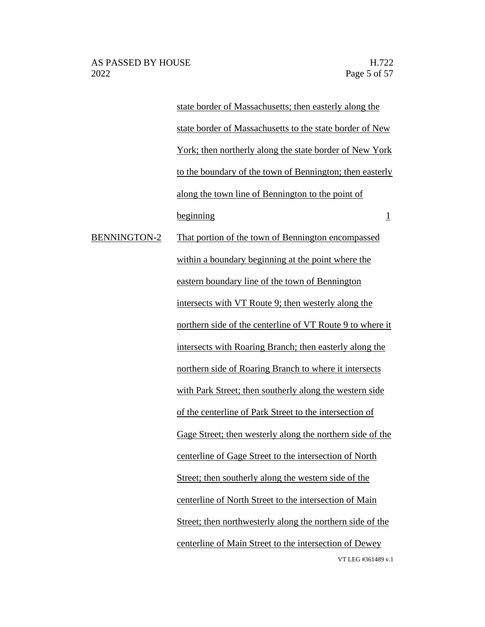VT LEG #361489 v.1 state border of Massachusetts; then easterly along the state border of Massachusetts to the state border of New York; then northerly along the state border of New York to the boundary of the town of Bennington; then easterly along the town line of Bennington to the point of  $begin{array}{c|c}\n \text{beginning} \\
\hline\n \end{array}$ BENNINGTON-2 That portion of the town of Bennington encompassed within a boundary beginning at the point where the eastern boundary line of the town of Bennington intersects with VT Route 9; then westerly along the northern side of the centerline of VT Route 9 to where it intersects with Roaring Branch; then easterly along the northern side of Roaring Branch to where it intersects with Park Street; then southerly along the western side of the centerline of Park Street to the intersection of Gage Street; then westerly along the northern side of the centerline of Gage Street to the intersection of North Street; then southerly along the western side of the centerline of North Street to the intersection of Main Street; then northwesterly along the northern side of the centerline of Main Street to the intersection of Dewey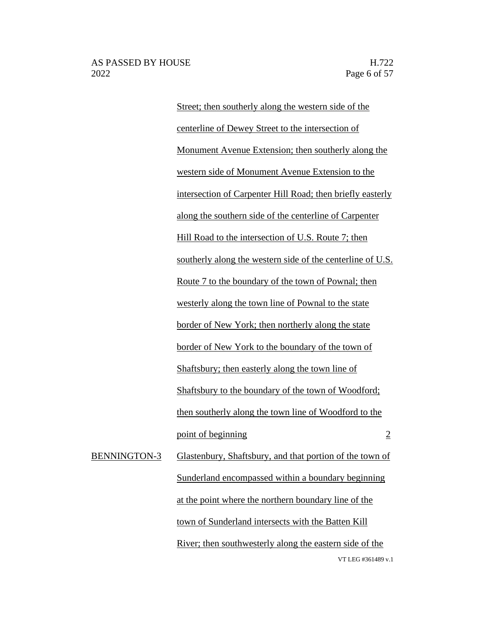VT LEG #361489 v.1 Street; then southerly along the western side of the centerline of Dewey Street to the intersection of Monument Avenue Extension; then southerly along the western side of Monument Avenue Extension to the intersection of Carpenter Hill Road; then briefly easterly along the southern side of the centerline of Carpenter Hill Road to the intersection of U.S. Route 7; then southerly along the western side of the centerline of U.S. Route 7 to the boundary of the town of Pownal; then westerly along the town line of Pownal to the state border of New York; then northerly along the state border of New York to the boundary of the town of Shaftsbury; then easterly along the town line of Shaftsbury to the boundary of the town of Woodford; then southerly along the town line of Woodford to the point of beginning 2 BENNINGTON-3 Glastenbury, Shaftsbury, and that portion of the town of Sunderland encompassed within a boundary beginning at the point where the northern boundary line of the town of Sunderland intersects with the Batten Kill River; then southwesterly along the eastern side of the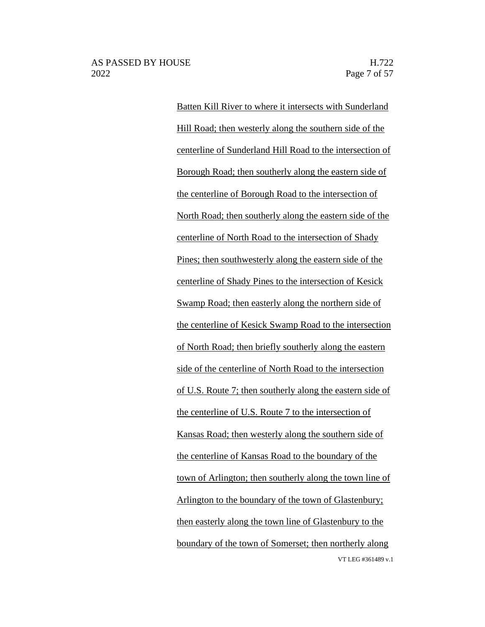VT LEG #361489 v.1 Batten Kill River to where it intersects with Sunderland Hill Road; then westerly along the southern side of the centerline of Sunderland Hill Road to the intersection of Borough Road; then southerly along the eastern side of the centerline of Borough Road to the intersection of North Road; then southerly along the eastern side of the centerline of North Road to the intersection of Shady Pines; then southwesterly along the eastern side of the centerline of Shady Pines to the intersection of Kesick Swamp Road; then easterly along the northern side of the centerline of Kesick Swamp Road to the intersection of North Road; then briefly southerly along the eastern side of the centerline of North Road to the intersection of U.S. Route 7; then southerly along the eastern side of the centerline of U.S. Route 7 to the intersection of Kansas Road; then westerly along the southern side of the centerline of Kansas Road to the boundary of the town of Arlington; then southerly along the town line of Arlington to the boundary of the town of Glastenbury; then easterly along the town line of Glastenbury to the boundary of the town of Somerset; then northerly along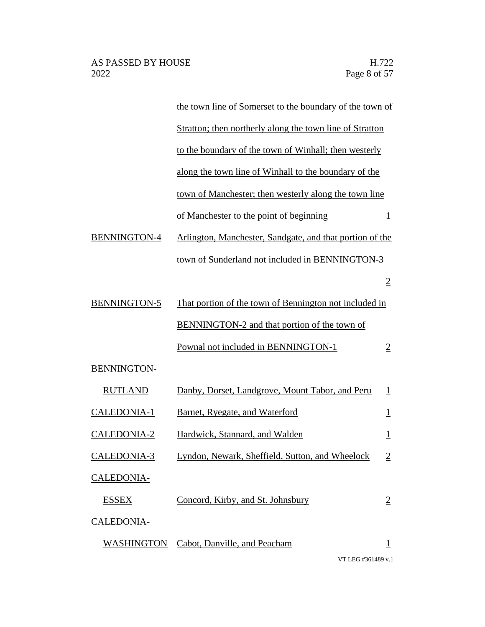| the town line of Somerset to the boundary of the town of |                         |
|----------------------------------------------------------|-------------------------|
| Stratton; then northerly along the town line of Stratton |                         |
| to the boundary of the town of Winhall; then westerly    |                         |
| along the town line of Winhall to the boundary of the    |                         |
| town of Manchester; then westerly along the town line    |                         |
| of Manchester to the point of beginning                  | $\overline{1}$          |
| Arlington, Manchester, Sandgate, and that portion of the |                         |
| town of Sunderland not included in BENNINGTON-3          |                         |
|                                                          | $\overline{2}$          |
| That portion of the town of Bennington not included in   |                         |
| BENNINGTON-2 and that portion of the town of             |                         |
| Pownal not included in BENNINGTON-1                      | $\overline{2}$          |
|                                                          |                         |
| Danby, Dorset, Landgrove, Mount Tabor, and Peru          | $\perp$                 |
| Barnet, Ryegate, and Waterford                           | $\overline{\mathbf{1}}$ |
| Hardwick, Stannard, and Walden                           | $\overline{1}$          |
| Lyndon, Newark, Sheffield, Sutton, and Wheelock          | $\overline{2}$          |
|                                                          |                         |
| Concord, Kirby, and St. Johnsbury                        | $\overline{2}$          |
|                                                          |                         |
| Cabot, Danville, and Peacham                             | $\overline{1}$          |
|                                                          |                         |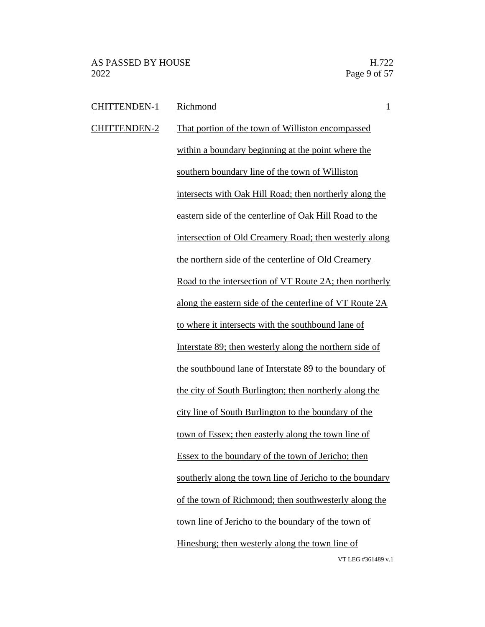| <b>CHITTENDEN-1</b> | Richmond<br>$\overline{1}$                               |
|---------------------|----------------------------------------------------------|
| <b>CHITTENDEN-2</b> | That portion of the town of Williston encompassed        |
|                     | within a boundary beginning at the point where the       |
|                     | southern boundary line of the town of Williston          |
|                     | intersects with Oak Hill Road; then northerly along the  |
|                     | eastern side of the centerline of Oak Hill Road to the   |
|                     | intersection of Old Creamery Road; then westerly along   |
|                     | the northern side of the centerline of Old Creamery      |
|                     | Road to the intersection of VT Route 2A; then northerly  |
|                     | along the eastern side of the centerline of VT Route 2A  |
|                     | to where it intersects with the southbound lane of       |
|                     | Interstate 89; then westerly along the northern side of  |
|                     | the southbound lane of Interstate 89 to the boundary of  |
|                     | the city of South Burlington; then northerly along the   |
|                     | city line of South Burlington to the boundary of the     |
|                     | town of Essex; then easterly along the town line of      |
|                     | Essex to the boundary of the town of Jericho; then       |
|                     | southerly along the town line of Jericho to the boundary |
|                     | of the town of Richmond; then southwesterly along the    |
|                     | town line of Jericho to the boundary of the town of      |
|                     | Hinesburg; then westerly along the town line of          |
|                     | VT LEG #361489 v.1                                       |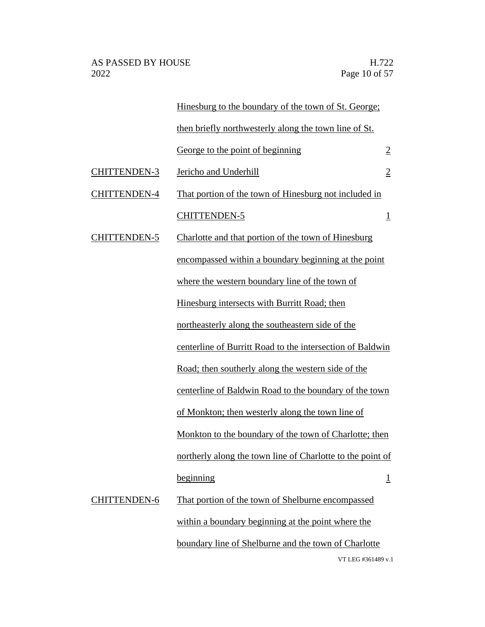|                     | Hinesburg to the boundary of the town of St. George;       |                |
|---------------------|------------------------------------------------------------|----------------|
|                     | then briefly northwesterly along the town line of St.      |                |
|                     | George to the point of beginning                           | $\overline{2}$ |
| <b>CHITTENDEN-3</b> | Jericho and Underhill                                      | $\overline{2}$ |
| <b>CHITTENDEN-4</b> | That portion of the town of Hinesburg not included in      |                |
|                     | <b>CHITTENDEN-5</b>                                        | $\overline{1}$ |
| <b>CHITTENDEN-5</b> | Charlotte and that portion of the town of Hinesburg        |                |
|                     | encompassed within a boundary beginning at the point       |                |
|                     | where the western boundary line of the town of             |                |
|                     | Hinesburg intersects with Burritt Road; then               |                |
|                     | northeasterly along the southeastern side of the           |                |
|                     | centerline of Burritt Road to the intersection of Baldwin  |                |
|                     | Road; then southerly along the western side of the         |                |
|                     | centerline of Baldwin Road to the boundary of the town     |                |
|                     | of Monkton; then westerly along the town line of           |                |
|                     | Monkton to the boundary of the town of Charlotte; then     |                |
|                     | northerly along the town line of Charlotte to the point of |                |
|                     | beginning                                                  | $\overline{1}$ |
| <b>CHITTENDEN-6</b> | That portion of the town of Shelburne encompassed          |                |
|                     | within a boundary beginning at the point where the         |                |
|                     | boundary line of Shelburne and the town of Charlotte       |                |
|                     | VT LEG #361489 v.1                                         |                |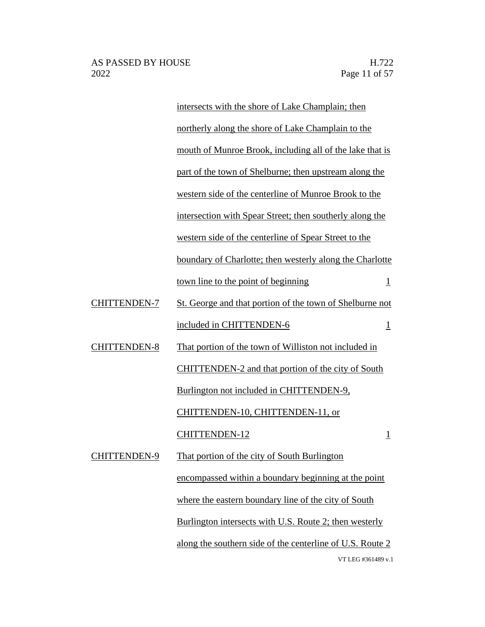VT LEG #361489 v.1 intersects with the shore of Lake Champlain; then northerly along the shore of Lake Champlain to the mouth of Munroe Brook, including all of the lake that is part of the town of Shelburne; then upstream along the western side of the centerline of Munroe Brook to the intersection with Spear Street; then southerly along the western side of the centerline of Spear Street to the boundary of Charlotte; then westerly along the Charlotte town line to the point of beginning  $1$ CHITTENDEN-7 St. George and that portion of the town of Shelburne not included in CHITTENDEN-6 1 CHITTENDEN-8 That portion of the town of Williston not included in CHITTENDEN-2 and that portion of the city of South Burlington not included in CHITTENDEN-9, CHITTENDEN-10, CHITTENDEN-11, or CHITTENDEN-12 1 CHITTENDEN-9 That portion of the city of South Burlington encompassed within a boundary beginning at the point where the eastern boundary line of the city of South Burlington intersects with U.S. Route 2; then westerly along the southern side of the centerline of U.S. Route 2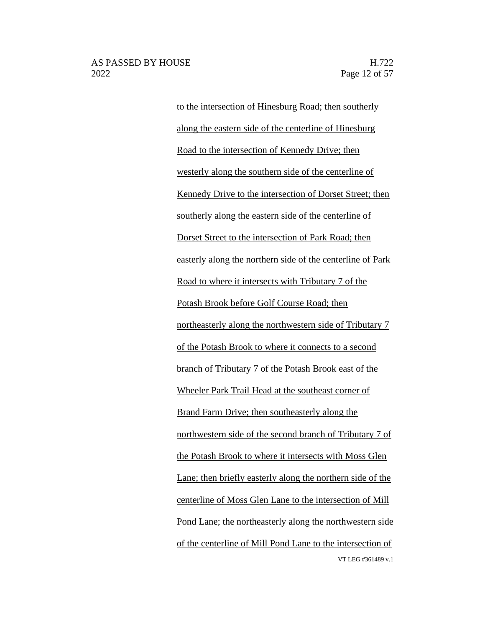VT LEG #361489 v.1 to the intersection of Hinesburg Road; then southerly along the eastern side of the centerline of Hinesburg Road to the intersection of Kennedy Drive; then westerly along the southern side of the centerline of Kennedy Drive to the intersection of Dorset Street; then southerly along the eastern side of the centerline of Dorset Street to the intersection of Park Road; then easterly along the northern side of the centerline of Park Road to where it intersects with Tributary 7 of the Potash Brook before Golf Course Road; then northeasterly along the northwestern side of Tributary 7 of the Potash Brook to where it connects to a second branch of Tributary 7 of the Potash Brook east of the Wheeler Park Trail Head at the southeast corner of Brand Farm Drive; then southeasterly along the northwestern side of the second branch of Tributary 7 of the Potash Brook to where it intersects with Moss Glen Lane; then briefly easterly along the northern side of the centerline of Moss Glen Lane to the intersection of Mill Pond Lane; the northeasterly along the northwestern side of the centerline of Mill Pond Lane to the intersection of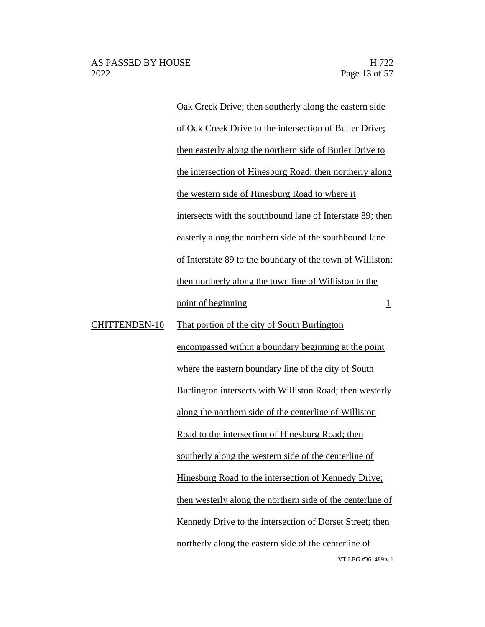Oak Creek Drive; then southerly along the eastern side of Oak Creek Drive to the intersection of Butler Drive; then easterly along the northern side of Butler Drive to the intersection of Hinesburg Road; then northerly along the western side of Hinesburg Road to where it intersects with the southbound lane of Interstate 89; then easterly along the northern side of the southbound lane of Interstate 89 to the boundary of the town of Williston; then northerly along the town line of Williston to the  $point of beginning$  1 encompassed within a boundary beginning at the point where the eastern boundary line of the city of South Burlington intersects with Williston Road; then westerly

VT LEG #361489 v.1 CHITTENDEN-10 That portion of the city of South Burlington along the northern side of the centerline of Williston Road to the intersection of Hinesburg Road; then southerly along the western side of the centerline of Hinesburg Road to the intersection of Kennedy Drive; then westerly along the northern side of the centerline of Kennedy Drive to the intersection of Dorset Street; then northerly along the eastern side of the centerline of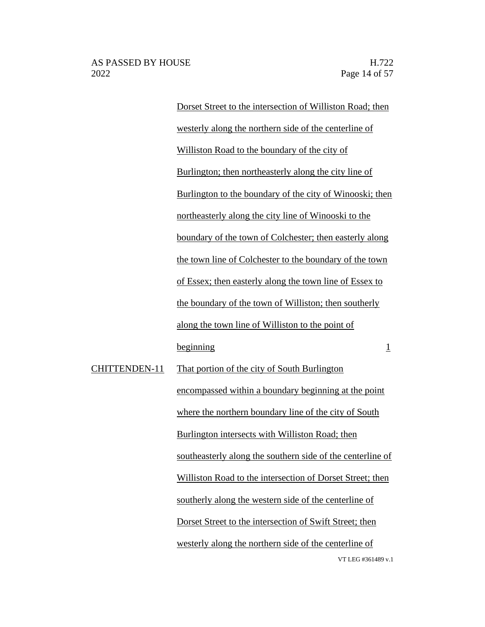Dorset Street to the intersection of Williston Road; then westerly along the northern side of the centerline of Williston Road to the boundary of the city of Burlington; then northeasterly along the city line of Burlington to the boundary of the city of Winooski; then northeasterly along the city line of Winooski to the boundary of the town of Colchester; then easterly along the town line of Colchester to the boundary of the town of Essex; then easterly along the town line of Essex to the boundary of the town of Williston; then southerly along the town line of Williston to the point of beginning 1

VT LEG #361489 v.1 CHITTENDEN-11 That portion of the city of South Burlington encompassed within a boundary beginning at the point where the northern boundary line of the city of South Burlington intersects with Williston Road; then southeasterly along the southern side of the centerline of Williston Road to the intersection of Dorset Street; then southerly along the western side of the centerline of Dorset Street to the intersection of Swift Street; then westerly along the northern side of the centerline of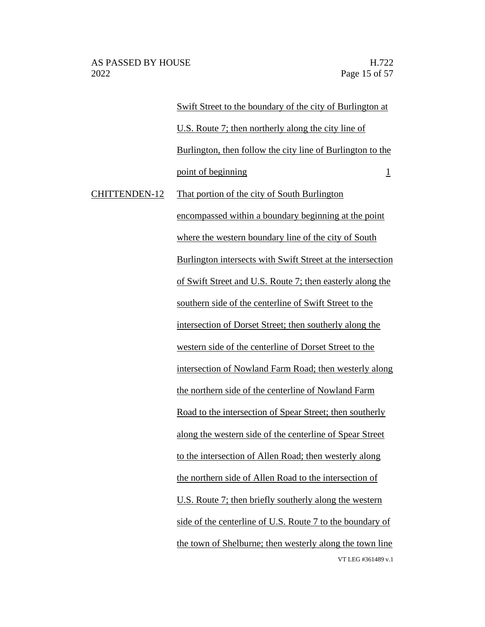Swift Street to the boundary of the city of Burlington at U.S. Route 7; then northerly along the city line of Burlington, then follow the city line of Burlington to the point of beginning 1 CHITTENDEN-12 That portion of the city of South Burlington encompassed within a boundary beginning at the point where the western boundary line of the city of South Burlington intersects with Swift Street at the intersection of Swift Street and U.S. Route 7; then easterly along the

southern side of the centerline of Swift Street to the

intersection of Dorset Street; then southerly along the

western side of the centerline of Dorset Street to the intersection of Nowland Farm Road; then westerly along

VT LEG #361489 v.1 the northern side of the centerline of Nowland Farm Road to the intersection of Spear Street; then southerly along the western side of the centerline of Spear Street to the intersection of Allen Road; then westerly along the northern side of Allen Road to the intersection of U.S. Route 7; then briefly southerly along the western side of the centerline of U.S. Route 7 to the boundary of the town of Shelburne; then westerly along the town line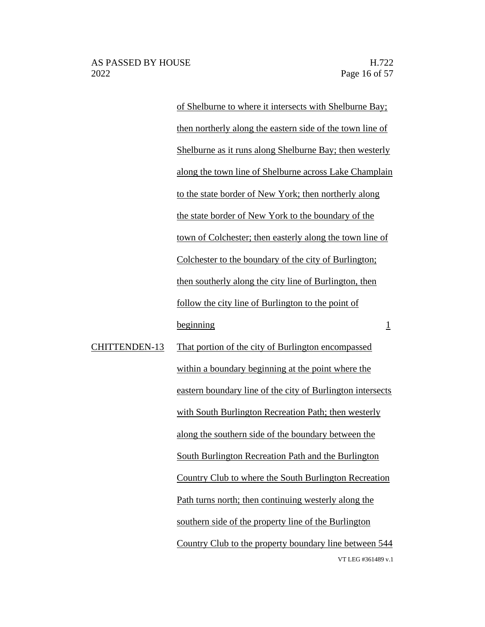of Shelburne to where it intersects with Shelburne Bay; then northerly along the eastern side of the town line of Shelburne as it runs along Shelburne Bay; then westerly along the town line of Shelburne across Lake Champlain to the state border of New York; then northerly along the state border of New York to the boundary of the town of Colchester; then easterly along the town line of Colchester to the boundary of the city of Burlington; then southerly along the city line of Burlington, then follow the city line of Burlington to the point of beginning 1

VT LEG #361489 v.1 CHITTENDEN-13 That portion of the city of Burlington encompassed within a boundary beginning at the point where the eastern boundary line of the city of Burlington intersects with South Burlington Recreation Path; then westerly along the southern side of the boundary between the South Burlington Recreation Path and the Burlington Country Club to where the South Burlington Recreation Path turns north; then continuing westerly along the southern side of the property line of the Burlington Country Club to the property boundary line between 544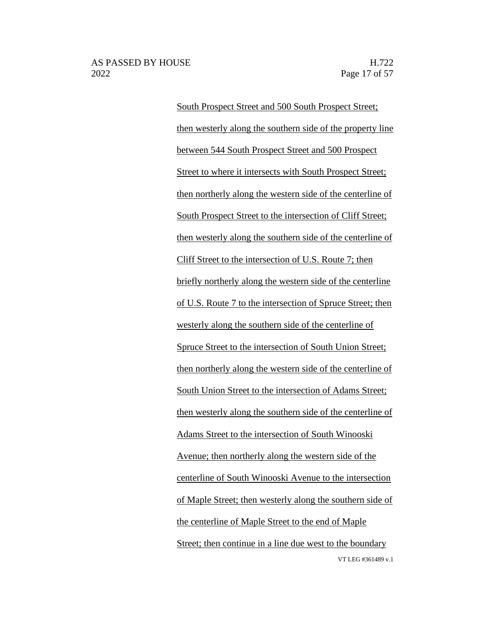VT LEG #361489 v.1 South Prospect Street and 500 South Prospect Street; then westerly along the southern side of the property line between 544 South Prospect Street and 500 Prospect Street to where it intersects with South Prospect Street; then northerly along the western side of the centerline of South Prospect Street to the intersection of Cliff Street; then westerly along the southern side of the centerline of Cliff Street to the intersection of U.S. Route 7; then briefly northerly along the western side of the centerline of U.S. Route 7 to the intersection of Spruce Street; then westerly along the southern side of the centerline of Spruce Street to the intersection of South Union Street; then northerly along the western side of the centerline of South Union Street to the intersection of Adams Street; then westerly along the southern side of the centerline of Adams Street to the intersection of South Winooski Avenue; then northerly along the western side of the centerline of South Winooski Avenue to the intersection of Maple Street; then westerly along the southern side of the centerline of Maple Street to the end of Maple Street; then continue in a line due west to the boundary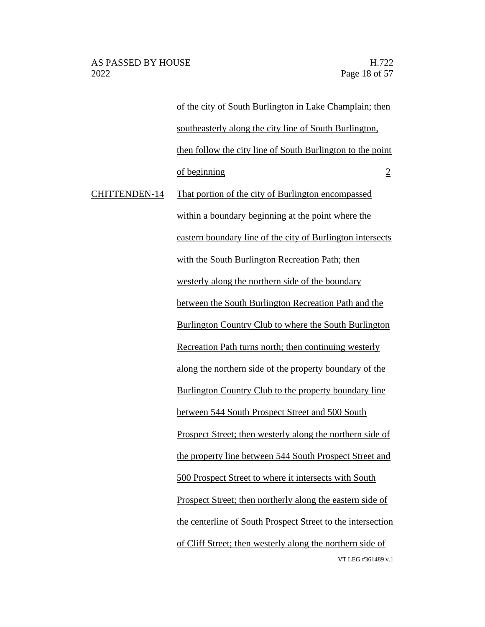of the city of South Burlington in Lake Champlain; then southeasterly along the city line of South Burlington, then follow the city line of South Burlington to the point of beginning 2

VT LEG #361489 v.1 CHITTENDEN-14 That portion of the city of Burlington encompassed within a boundary beginning at the point where the eastern boundary line of the city of Burlington intersects with the South Burlington Recreation Path; then westerly along the northern side of the boundary between the South Burlington Recreation Path and the Burlington Country Club to where the South Burlington Recreation Path turns north; then continuing westerly along the northern side of the property boundary of the Burlington Country Club to the property boundary line between 544 South Prospect Street and 500 South Prospect Street; then westerly along the northern side of the property line between 544 South Prospect Street and 500 Prospect Street to where it intersects with South Prospect Street; then northerly along the eastern side of the centerline of South Prospect Street to the intersection of Cliff Street; then westerly along the northern side of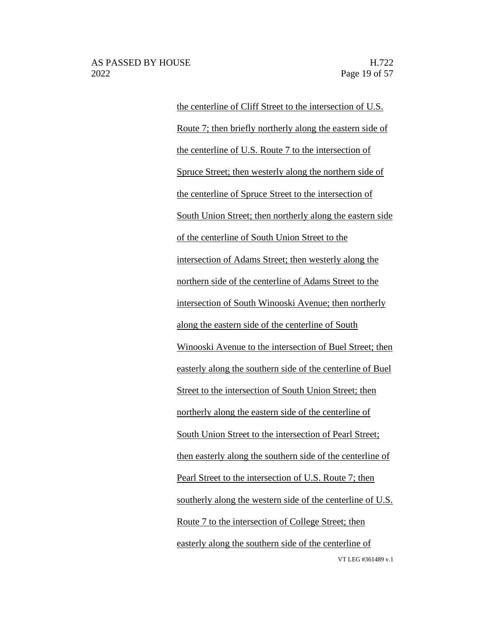VT LEG #361489 v.1 the centerline of Cliff Street to the intersection of U.S. Route 7; then briefly northerly along the eastern side of the centerline of U.S. Route 7 to the intersection of Spruce Street; then westerly along the northern side of the centerline of Spruce Street to the intersection of South Union Street; then northerly along the eastern side of the centerline of South Union Street to the intersection of Adams Street; then westerly along the northern side of the centerline of Adams Street to the intersection of South Winooski Avenue; then northerly along the eastern side of the centerline of South Winooski Avenue to the intersection of Buel Street; then easterly along the southern side of the centerline of Buel Street to the intersection of South Union Street; then northerly along the eastern side of the centerline of South Union Street to the intersection of Pearl Street; then easterly along the southern side of the centerline of Pearl Street to the intersection of U.S. Route 7; then southerly along the western side of the centerline of U.S. Route 7 to the intersection of College Street; then easterly along the southern side of the centerline of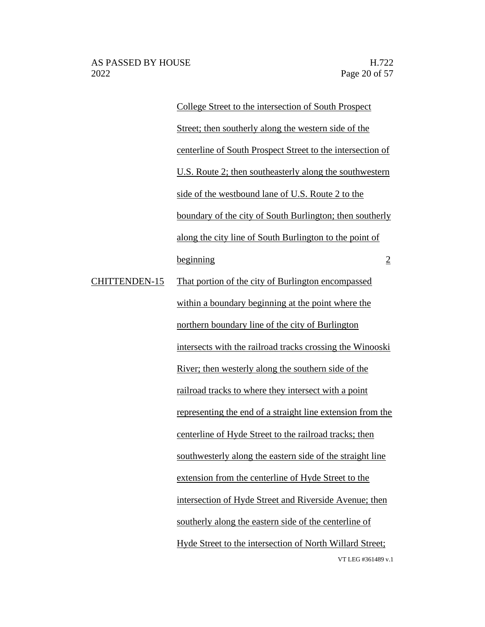VT LEG #361489 v.1 College Street to the intersection of South Prospect Street; then southerly along the western side of the centerline of South Prospect Street to the intersection of U.S. Route 2; then southeasterly along the southwestern side of the westbound lane of U.S. Route 2 to the boundary of the city of South Burlington; then southerly along the city line of South Burlington to the point of beginning 2 CHITTENDEN-15 That portion of the city of Burlington encompassed within a boundary beginning at the point where the northern boundary line of the city of Burlington intersects with the railroad tracks crossing the Winooski River; then westerly along the southern side of the railroad tracks to where they intersect with a point representing the end of a straight line extension from the centerline of Hyde Street to the railroad tracks; then southwesterly along the eastern side of the straight line extension from the centerline of Hyde Street to the intersection of Hyde Street and Riverside Avenue; then southerly along the eastern side of the centerline of Hyde Street to the intersection of North Willard Street;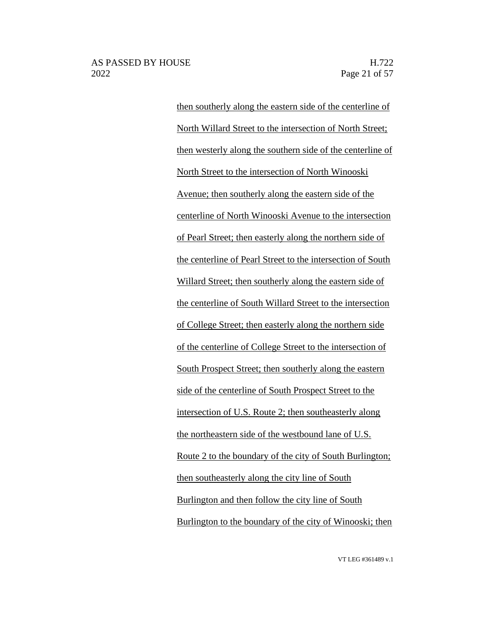then southerly along the eastern side of the centerline of North Willard Street to the intersection of North Street; then westerly along the southern side of the centerline of North Street to the intersection of North Winooski Avenue; then southerly along the eastern side of the centerline of North Winooski Avenue to the intersection of Pearl Street; then easterly along the northern side of the centerline of Pearl Street to the intersection of South Willard Street; then southerly along the eastern side of the centerline of South Willard Street to the intersection of College Street; then easterly along the northern side of the centerline of College Street to the intersection of South Prospect Street; then southerly along the eastern side of the centerline of South Prospect Street to the intersection of U.S. Route 2; then southeasterly along the northeastern side of the westbound lane of U.S. Route 2 to the boundary of the city of South Burlington; then southeasterly along the city line of South Burlington and then follow the city line of South Burlington to the boundary of the city of Winooski; then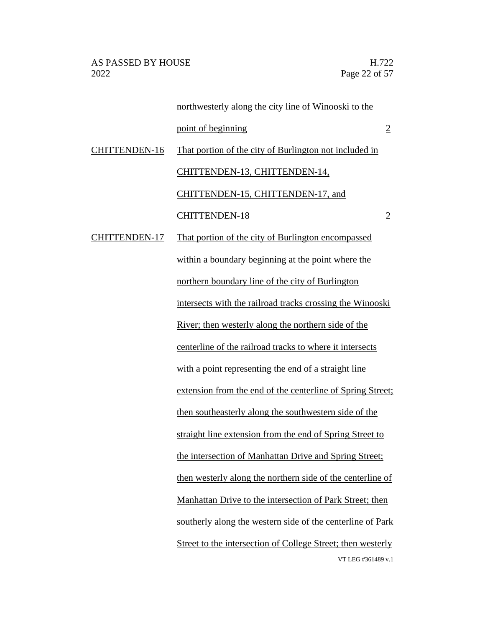VT LEG #361489 v.1 northwesterly along the city line of Winooski to the point of beginning 2 CHITTENDEN-16 That portion of the city of Burlington not included in CHITTENDEN-13, CHITTENDEN-14, CHITTENDEN-15, CHITTENDEN-17, and CHITTENDEN-18 2 CHITTENDEN-17 That portion of the city of Burlington encompassed within a boundary beginning at the point where the northern boundary line of the city of Burlington intersects with the railroad tracks crossing the Winooski River; then westerly along the northern side of the centerline of the railroad tracks to where it intersects with a point representing the end of a straight line extension from the end of the centerline of Spring Street; then southeasterly along the southwestern side of the straight line extension from the end of Spring Street to the intersection of Manhattan Drive and Spring Street; then westerly along the northern side of the centerline of Manhattan Drive to the intersection of Park Street; then southerly along the western side of the centerline of Park Street to the intersection of College Street; then westerly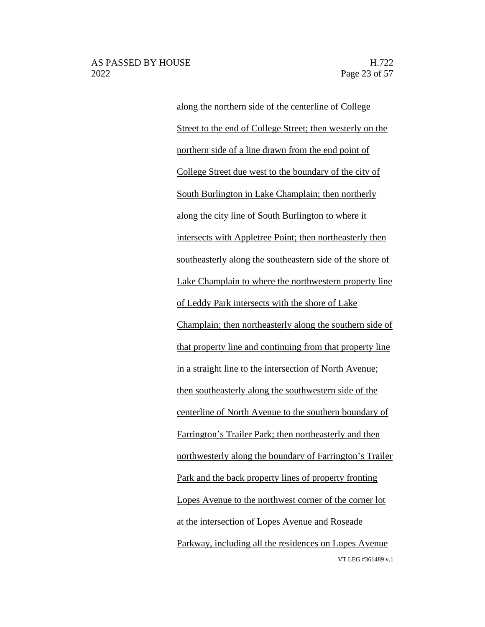VT LEG #361489 v.1 along the northern side of the centerline of College Street to the end of College Street; then westerly on the northern side of a line drawn from the end point of College Street due west to the boundary of the city of South Burlington in Lake Champlain; then northerly along the city line of South Burlington to where it intersects with Appletree Point; then northeasterly then southeasterly along the southeastern side of the shore of Lake Champlain to where the northwestern property line of Leddy Park intersects with the shore of Lake Champlain; then northeasterly along the southern side of that property line and continuing from that property line in a straight line to the intersection of North Avenue; then southeasterly along the southwestern side of the centerline of North Avenue to the southern boundary of Farrington's Trailer Park; then northeasterly and then northwesterly along the boundary of Farrington's Trailer Park and the back property lines of property fronting Lopes Avenue to the northwest corner of the corner lot at the intersection of Lopes Avenue and Roseade Parkway, including all the residences on Lopes Avenue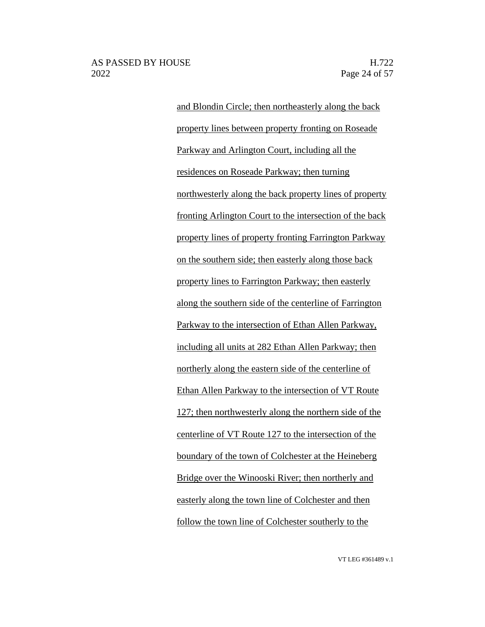and Blondin Circle; then northeasterly along the back property lines between property fronting on Roseade Parkway and Arlington Court, including all the residences on Roseade Parkway; then turning northwesterly along the back property lines of property fronting Arlington Court to the intersection of the back property lines of property fronting Farrington Parkway on the southern side; then easterly along those back property lines to Farrington Parkway; then easterly along the southern side of the centerline of Farrington Parkway to the intersection of Ethan Allen Parkway, including all units at 282 Ethan Allen Parkway; then northerly along the eastern side of the centerline of Ethan Allen Parkway to the intersection of VT Route 127; then northwesterly along the northern side of the centerline of VT Route 127 to the intersection of the boundary of the town of Colchester at the Heineberg Bridge over the Winooski River; then northerly and easterly along the town line of Colchester and then follow the town line of Colchester southerly to the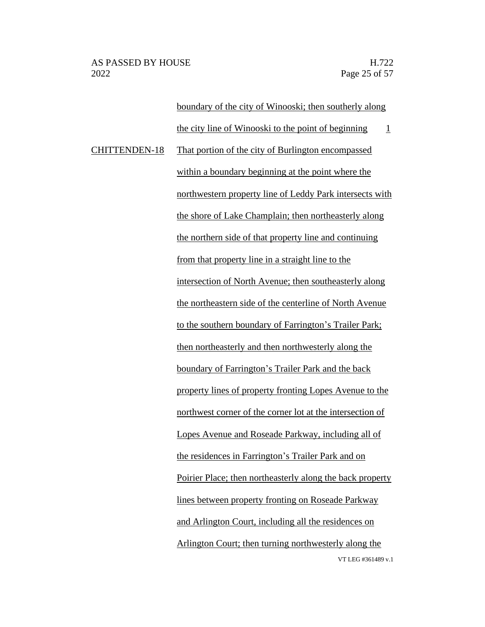VT LEG #361489 v.1 boundary of the city of Winooski; then southerly along the city line of Winooski to the point of beginning  $1$ CHITTENDEN-18 That portion of the city of Burlington encompassed within a boundary beginning at the point where the northwestern property line of Leddy Park intersects with the shore of Lake Champlain; then northeasterly along the northern side of that property line and continuing from that property line in a straight line to the intersection of North Avenue; then southeasterly along the northeastern side of the centerline of North Avenue to the southern boundary of Farrington's Trailer Park; then northeasterly and then northwesterly along the boundary of Farrington's Trailer Park and the back property lines of property fronting Lopes Avenue to the northwest corner of the corner lot at the intersection of Lopes Avenue and Roseade Parkway, including all of the residences in Farrington's Trailer Park and on Poirier Place; then northeasterly along the back property lines between property fronting on Roseade Parkway and Arlington Court, including all the residences on Arlington Court; then turning northwesterly along the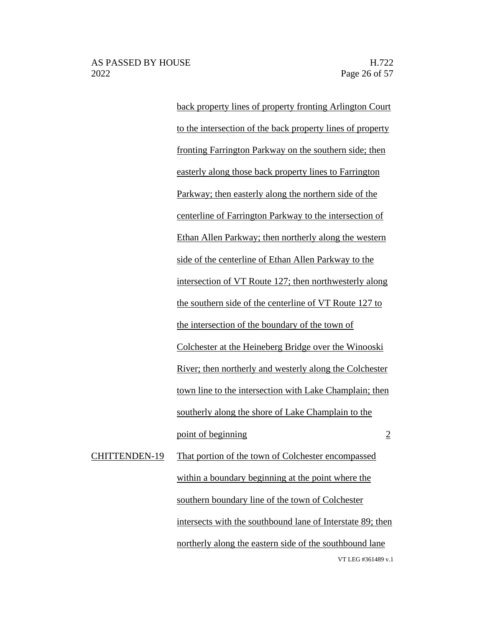back property lines of property fronting Arlington Court to the intersection of the back property lines of property fronting Farrington Parkway on the southern side; then easterly along those back property lines to Farrington Parkway; then easterly along the northern side of the centerline of Farrington Parkway to the intersection of Ethan Allen Parkway; then northerly along the western side of the centerline of Ethan Allen Parkway to the intersection of VT Route 127; then northwesterly along the southern side of the centerline of VT Route 127 to the intersection of the boundary of the town of Colchester at the Heineberg Bridge over the Winooski River; then northerly and westerly along the Colchester town line to the intersection with Lake Champlain; then southerly along the shore of Lake Champlain to the point of beginning 2 CHITTENDEN-19 That portion of the town of Colchester encompassed within a boundary beginning at the point where the southern boundary line of the town of Colchester

> VT LEG #361489 v.1 intersects with the southbound lane of Interstate 89; then northerly along the eastern side of the southbound lane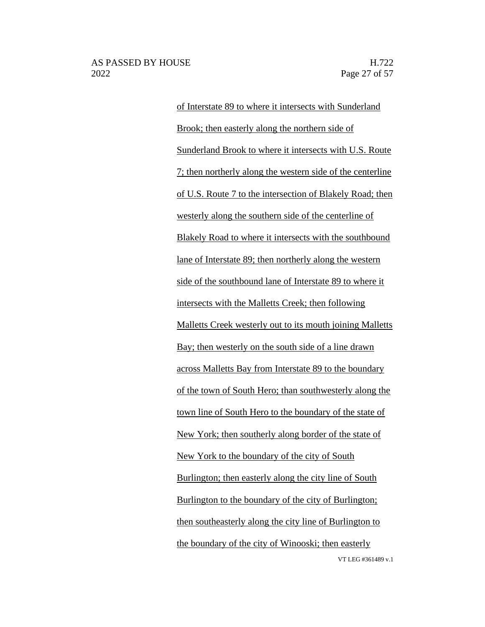VT LEG #361489 v.1 of Interstate 89 to where it intersects with Sunderland Brook; then easterly along the northern side of Sunderland Brook to where it intersects with U.S. Route 7; then northerly along the western side of the centerline of U.S. Route 7 to the intersection of Blakely Road; then westerly along the southern side of the centerline of Blakely Road to where it intersects with the southbound lane of Interstate 89; then northerly along the western side of the southbound lane of Interstate 89 to where it intersects with the Malletts Creek; then following Malletts Creek westerly out to its mouth joining Malletts Bay; then westerly on the south side of a line drawn across Malletts Bay from Interstate 89 to the boundary of the town of South Hero; than southwesterly along the town line of South Hero to the boundary of the state of New York; then southerly along border of the state of New York to the boundary of the city of South Burlington; then easterly along the city line of South Burlington to the boundary of the city of Burlington; then southeasterly along the city line of Burlington to the boundary of the city of Winooski; then easterly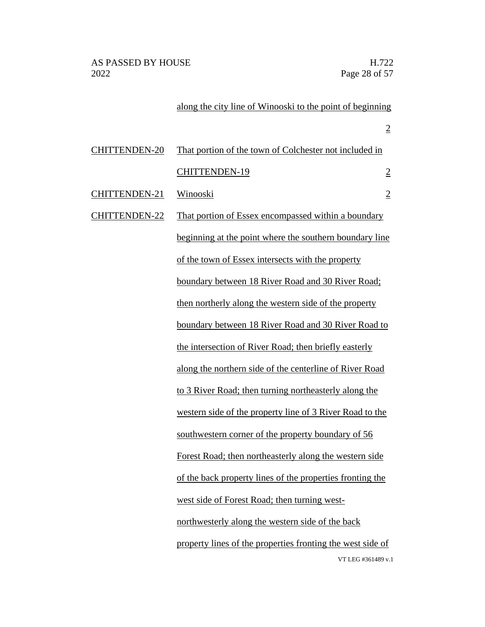# along the city line of Winooski to the point of beginning

|                      |                                                            | $\overline{2}$ |
|----------------------|------------------------------------------------------------|----------------|
| <b>CHITTENDEN-20</b> | That portion of the town of Colchester not included in     |                |
|                      | <b>CHITTENDEN-19</b>                                       | $\overline{2}$ |
| CHITTENDEN-21        | <u>Winooski</u>                                            | $\overline{2}$ |
| <b>CHITTENDEN-22</b> | That portion of Essex encompassed within a boundary        |                |
|                      | beginning at the point where the southern boundary line    |                |
|                      | of the town of Essex intersects with the property          |                |
|                      | boundary between 18 River Road and 30 River Road;          |                |
|                      | then northerly along the western side of the property      |                |
|                      | boundary between 18 River Road and 30 River Road to        |                |
|                      | the intersection of River Road; then briefly easterly      |                |
|                      | along the northern side of the centerline of River Road    |                |
|                      | to 3 River Road; then turning northeasterly along the      |                |
|                      | western side of the property line of 3 River Road to the   |                |
|                      | southwestern corner of the property boundary of 56         |                |
|                      | Forest Road; then northeasterly along the western side     |                |
|                      | of the back property lines of the properties fronting the  |                |
|                      | west side of Forest Road; then turning west-               |                |
|                      | northwesterly along the western side of the back           |                |
|                      | property lines of the properties fronting the west side of |                |
|                      | VT LEG #361489 v.1                                         |                |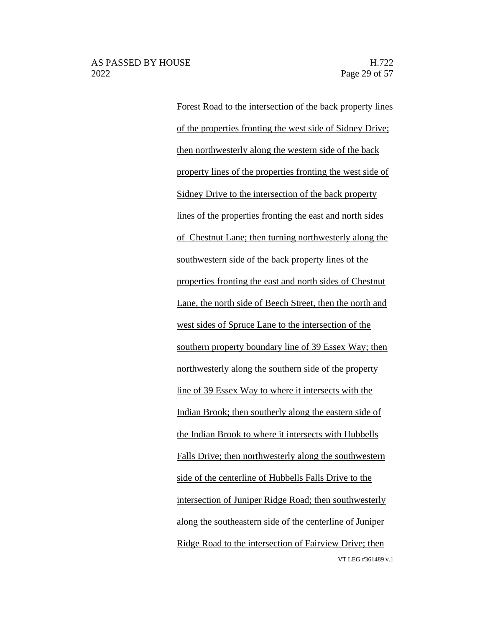VT LEG #361489 v.1 Forest Road to the intersection of the back property lines of the properties fronting the west side of Sidney Drive; then northwesterly along the western side of the back property lines of the properties fronting the west side of Sidney Drive to the intersection of the back property lines of the properties fronting the east and north sides of Chestnut Lane; then turning northwesterly along the southwestern side of the back property lines of the properties fronting the east and north sides of Chestnut Lane, the north side of Beech Street, then the north and west sides of Spruce Lane to the intersection of the southern property boundary line of 39 Essex Way; then northwesterly along the southern side of the property line of 39 Essex Way to where it intersects with the Indian Brook; then southerly along the eastern side of the Indian Brook to where it intersects with Hubbells Falls Drive; then northwesterly along the southwestern side of the centerline of Hubbells Falls Drive to the intersection of Juniper Ridge Road; then southwesterly along the southeastern side of the centerline of Juniper Ridge Road to the intersection of Fairview Drive; then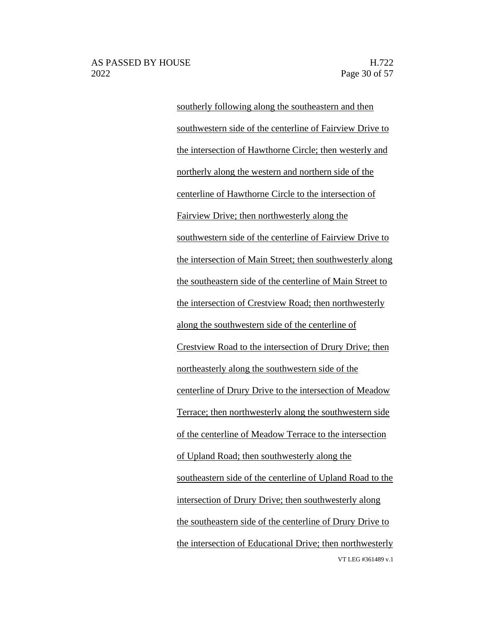VT LEG #361489 v.1 southerly following along the southeastern and then southwestern side of the centerline of Fairview Drive to the intersection of Hawthorne Circle; then westerly and northerly along the western and northern side of the centerline of Hawthorne Circle to the intersection of Fairview Drive; then northwesterly along the southwestern side of the centerline of Fairview Drive to the intersection of Main Street; then southwesterly along the southeastern side of the centerline of Main Street to the intersection of Crestview Road; then northwesterly along the southwestern side of the centerline of Crestview Road to the intersection of Drury Drive; then northeasterly along the southwestern side of the centerline of Drury Drive to the intersection of Meadow Terrace; then northwesterly along the southwestern side of the centerline of Meadow Terrace to the intersection of Upland Road; then southwesterly along the southeastern side of the centerline of Upland Road to the intersection of Drury Drive; then southwesterly along the southeastern side of the centerline of Drury Drive to the intersection of Educational Drive; then northwesterly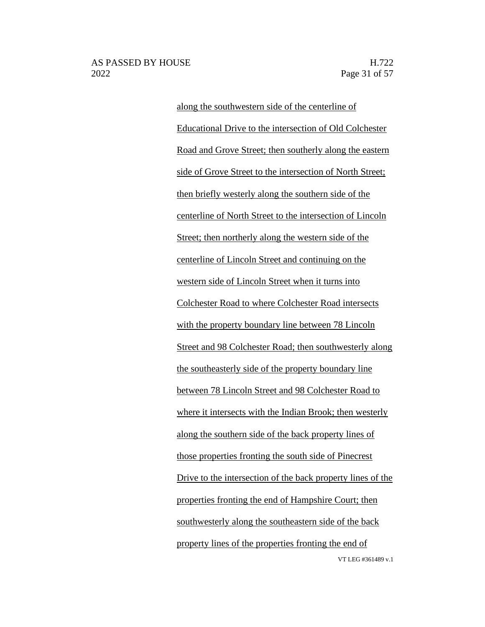### AS PASSED BY HOUSE H.722 2022 Page 31 of 57

VT LEG #361489 v.1 along the southwestern side of the centerline of Educational Drive to the intersection of Old Colchester Road and Grove Street; then southerly along the eastern side of Grove Street to the intersection of North Street; then briefly westerly along the southern side of the centerline of North Street to the intersection of Lincoln Street; then northerly along the western side of the centerline of Lincoln Street and continuing on the western side of Lincoln Street when it turns into Colchester Road to where Colchester Road intersects with the property boundary line between 78 Lincoln Street and 98 Colchester Road; then southwesterly along the southeasterly side of the property boundary line between 78 Lincoln Street and 98 Colchester Road to where it intersects with the Indian Brook; then westerly along the southern side of the back property lines of those properties fronting the south side of Pinecrest Drive to the intersection of the back property lines of the properties fronting the end of Hampshire Court; then southwesterly along the southeastern side of the back property lines of the properties fronting the end of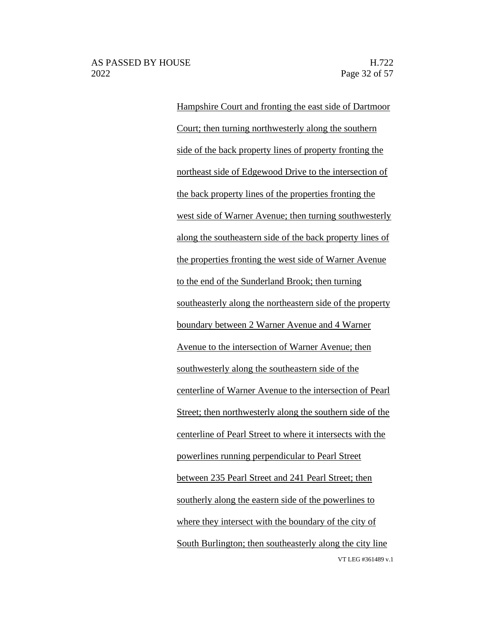VT LEG #361489 v.1 Hampshire Court and fronting the east side of Dartmoor Court; then turning northwesterly along the southern side of the back property lines of property fronting the northeast side of Edgewood Drive to the intersection of the back property lines of the properties fronting the west side of Warner Avenue; then turning southwesterly along the southeastern side of the back property lines of the properties fronting the west side of Warner Avenue to the end of the Sunderland Brook; then turning southeasterly along the northeastern side of the property boundary between 2 Warner Avenue and 4 Warner Avenue to the intersection of Warner Avenue; then southwesterly along the southeastern side of the centerline of Warner Avenue to the intersection of Pearl Street; then northwesterly along the southern side of the centerline of Pearl Street to where it intersects with the powerlines running perpendicular to Pearl Street between 235 Pearl Street and 241 Pearl Street; then southerly along the eastern side of the powerlines to where they intersect with the boundary of the city of South Burlington; then southeasterly along the city line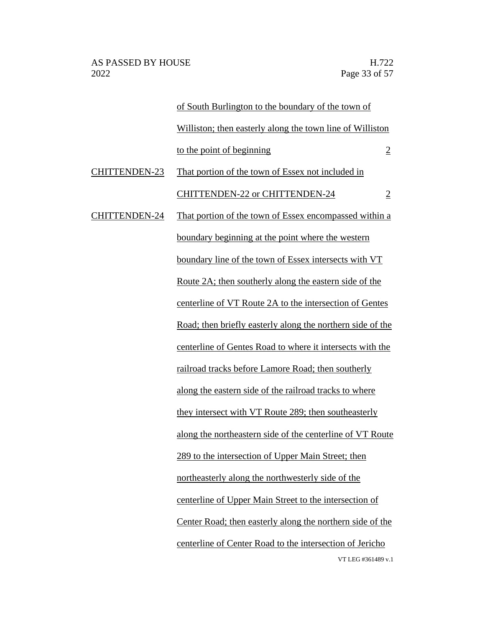|                      | of South Burlington to the boundary of the town of         |                |
|----------------------|------------------------------------------------------------|----------------|
|                      | Williston; then easterly along the town line of Williston  |                |
|                      | to the point of beginning                                  | $\overline{2}$ |
| <b>CHITTENDEN-23</b> | That portion of the town of Essex not included in          |                |
|                      | <b>CHITTENDEN-22 or CHITTENDEN-24</b>                      | $\overline{2}$ |
| <b>CHITTENDEN-24</b> | That portion of the town of Essex encompassed within a     |                |
|                      | boundary beginning at the point where the western          |                |
|                      | boundary line of the town of Essex intersects with VT      |                |
|                      | Route 2A; then southerly along the eastern side of the     |                |
|                      | centerline of VT Route 2A to the intersection of Gentes    |                |
|                      | Road; then briefly easterly along the northern side of the |                |
|                      | centerline of Gentes Road to where it intersects with the  |                |
|                      | railroad tracks before Lamore Road; then southerly         |                |
|                      | along the eastern side of the railroad tracks to where     |                |
|                      | they intersect with VT Route 289; then southeasterly       |                |
|                      | along the northeastern side of the centerline of VT Route  |                |
|                      | 289 to the intersection of Upper Main Street; then         |                |
|                      | northeasterly along the northwesterly side of the          |                |
|                      | centerline of Upper Main Street to the intersection of     |                |
|                      | Center Road; then easterly along the northern side of the  |                |
|                      | centerline of Center Road to the intersection of Jericho   |                |
|                      | VT LEG #361489 v.1                                         |                |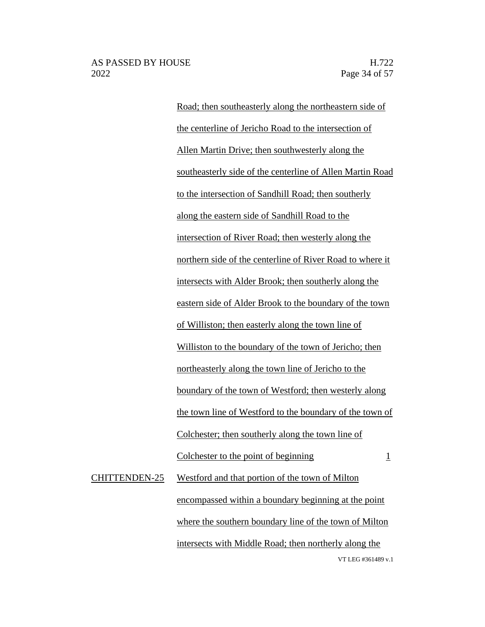Road; then southeasterly along the northeastern side of the centerline of Jericho Road to the intersection of Allen Martin Drive; then southwesterly along the southeasterly side of the centerline of Allen Martin Road to the intersection of Sandhill Road; then southerly along the eastern side of Sandhill Road to the intersection of River Road; then westerly along the northern side of the centerline of River Road to where it intersects with Alder Brook; then southerly along the eastern side of Alder Brook to the boundary of the town of Williston; then easterly along the town line of Williston to the boundary of the town of Jericho; then northeasterly along the town line of Jericho to the boundary of the town of Westford; then westerly along the town line of Westford to the boundary of the town of Colchester; then southerly along the town line of Colchester to the point of beginning  $1$ CHITTENDEN-25 Westford and that portion of the town of Milton encompassed within a boundary beginning at the point

> VT LEG #361489 v.1 intersects with Middle Road; then northerly along the

where the southern boundary line of the town of Milton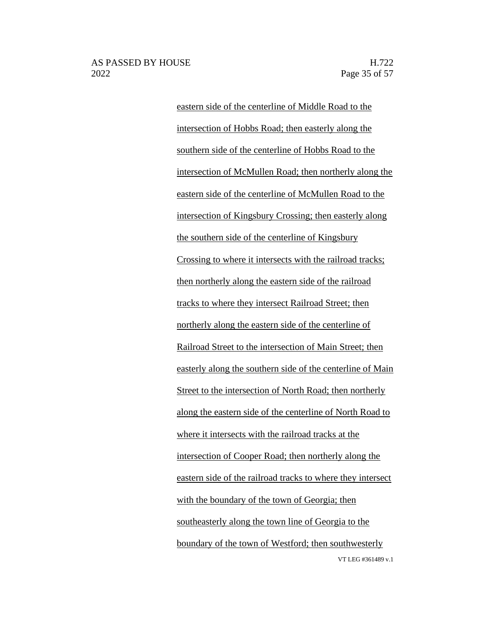VT LEG #361489 v.1 eastern side of the centerline of Middle Road to the intersection of Hobbs Road; then easterly along the southern side of the centerline of Hobbs Road to the intersection of McMullen Road; then northerly along the eastern side of the centerline of McMullen Road to the intersection of Kingsbury Crossing; then easterly along the southern side of the centerline of Kingsbury Crossing to where it intersects with the railroad tracks; then northerly along the eastern side of the railroad tracks to where they intersect Railroad Street; then northerly along the eastern side of the centerline of Railroad Street to the intersection of Main Street; then easterly along the southern side of the centerline of Main Street to the intersection of North Road; then northerly along the eastern side of the centerline of North Road to where it intersects with the railroad tracks at the intersection of Cooper Road; then northerly along the eastern side of the railroad tracks to where they intersect with the boundary of the town of Georgia; then southeasterly along the town line of Georgia to the boundary of the town of Westford; then southwesterly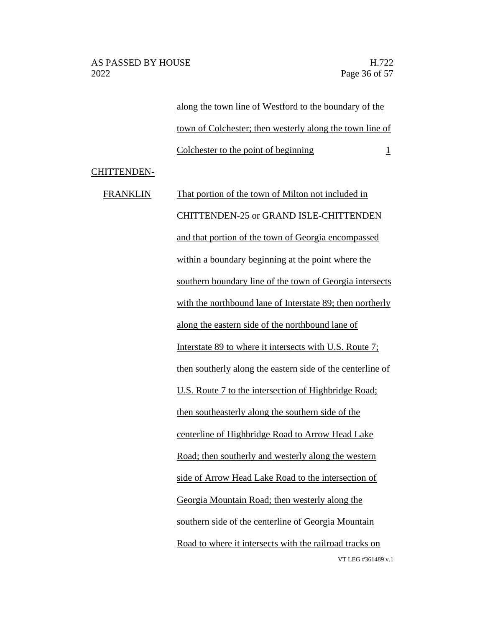along the town line of Westford to the boundary of the town of Colchester; then westerly along the town line of Colchester to the point of beginning 1

CHITTENDEN-

VT LEG #361489 v.1 FRANKLIN That portion of the town of Milton not included in CHITTENDEN-25 or GRAND ISLE-CHITTENDEN and that portion of the town of Georgia encompassed within a boundary beginning at the point where the southern boundary line of the town of Georgia intersects with the northbound lane of Interstate 89; then northerly along the eastern side of the northbound lane of Interstate 89 to where it intersects with U.S. Route 7; then southerly along the eastern side of the centerline of U.S. Route 7 to the intersection of Highbridge Road; then southeasterly along the southern side of the centerline of Highbridge Road to Arrow Head Lake Road; then southerly and westerly along the western side of Arrow Head Lake Road to the intersection of Georgia Mountain Road; then westerly along the southern side of the centerline of Georgia Mountain Road to where it intersects with the railroad tracks on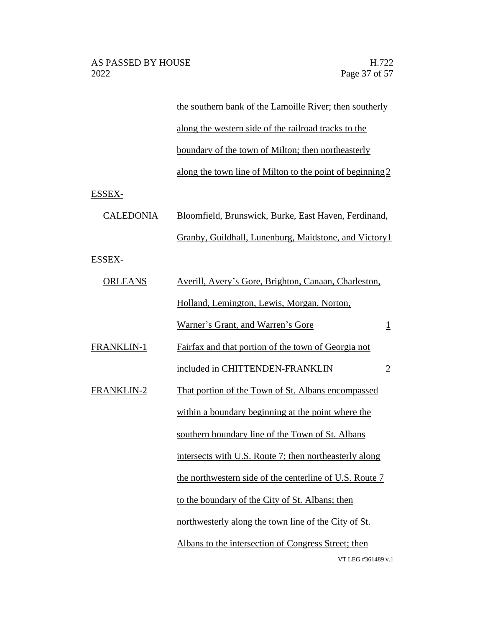VT LEG #361489 v.1 the southern bank of the Lamoille River; then southerly along the western side of the railroad tracks to the boundary of the town of Milton; then northeasterly along the town line of Milton to the point of beginning2 ESSEX- CALEDONIA Bloomfield, Brunswick, Burke, East Haven, Ferdinand, Granby, Guildhall, Lunenburg, Maidstone, and Victory1 ESSEX- ORLEANS Averill, Avery's Gore, Brighton, Canaan, Charleston, Holland, Lemington, Lewis, Morgan, Norton, Warner's Grant, and Warren's Gore 1 FRANKLIN-1 Fairfax and that portion of the town of Georgia not included in CHITTENDEN-FRANKLIN 2 FRANKLIN-2 That portion of the Town of St. Albans encompassed within a boundary beginning at the point where the southern boundary line of the Town of St. Albans intersects with U.S. Route 7; then northeasterly along the northwestern side of the centerline of U.S. Route 7 to the boundary of the City of St. Albans; then northwesterly along the town line of the City of St. Albans to the intersection of Congress Street; then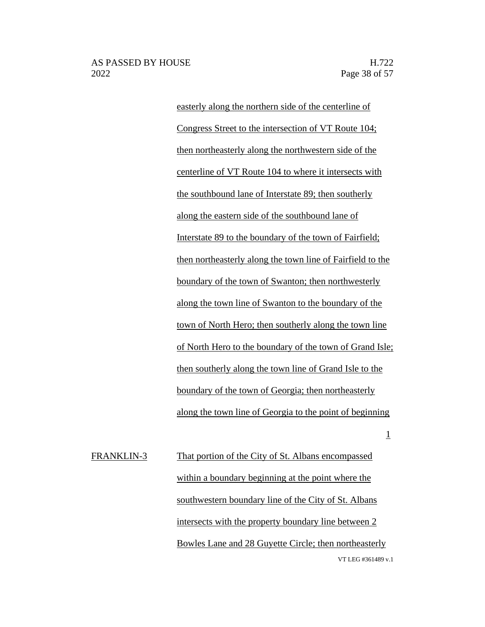1

easterly along the northern side of the centerline of Congress Street to the intersection of VT Route 104; then northeasterly along the northwestern side of the centerline of VT Route 104 to where it intersects with the southbound lane of Interstate 89; then southerly along the eastern side of the southbound lane of Interstate 89 to the boundary of the town of Fairfield; then northeasterly along the town line of Fairfield to the boundary of the town of Swanton; then northwesterly along the town line of Swanton to the boundary of the town of North Hero; then southerly along the town line of North Hero to the boundary of the town of Grand Isle; then southerly along the town line of Grand Isle to the boundary of the town of Georgia; then northeasterly along the town line of Georgia to the point of beginning

VT LEG #361489 v.1 FRANKLIN-3 That portion of the City of St. Albans encompassed within a boundary beginning at the point where the southwestern boundary line of the City of St. Albans intersects with the property boundary line between 2 Bowles Lane and 28 Guyette Circle; then northeasterly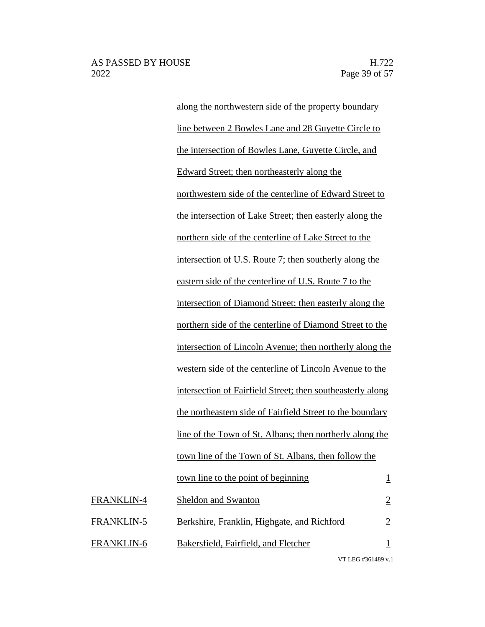along the northwestern side of the property boundary line between 2 Bowles Lane and 28 Guyette Circle to the intersection of Bowles Lane, Guyette Circle, and Edward Street; then northeasterly along the northwestern side of the centerline of Edward Street to the intersection of Lake Street; then easterly along the northern side of the centerline of Lake Street to the intersection of U.S. Route 7; then southerly along the eastern side of the centerline of U.S. Route 7 to the intersection of Diamond Street; then easterly along the northern side of the centerline of Diamond Street to the intersection of Lincoln Avenue; then northerly along the western side of the centerline of Lincoln Avenue to the intersection of Fairfield Street; then southeasterly along the northeastern side of Fairfield Street to the boundary line of the Town of St. Albans; then northerly along the town line of the Town of St. Albans, then follow the town line to the point of beginning  $1$ FRANKLIN-4 Sheldon and Swanton 2 FRANKLIN-5 Berkshire, Franklin, Highgate, and Richford 2 FRANKLIN-6 Bakersfield, Fairfield, and Fletcher 1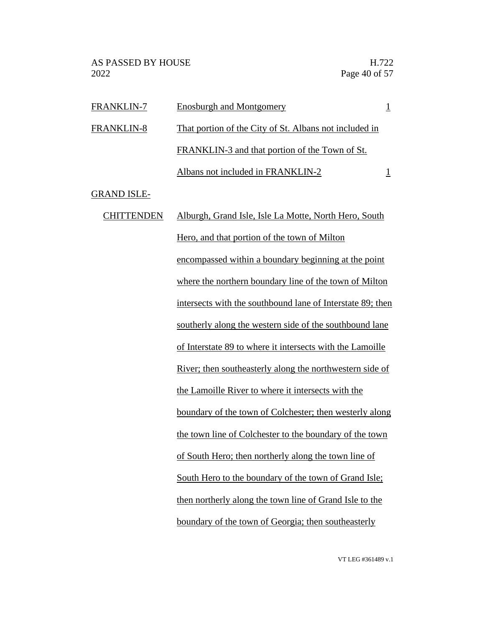| FRANKLIN-7         | <b>Enosburgh and Montgomery</b>                            | $\overline{1}$ |
|--------------------|------------------------------------------------------------|----------------|
| <b>FRANKLIN-8</b>  | That portion of the City of St. Albans not included in     |                |
|                    | FRANKLIN-3 and that portion of the Town of St.             |                |
|                    | Albans not included in FRANKLIN-2                          | $\overline{1}$ |
| <b>GRAND ISLE-</b> |                                                            |                |
| <b>CHITTENDEN</b>  | Alburgh, Grand Isle, Isle La Motte, North Hero, South      |                |
|                    | Hero, and that portion of the town of Milton               |                |
|                    | encompassed within a boundary beginning at the point       |                |
|                    | where the northern boundary line of the town of Milton     |                |
|                    | intersects with the southbound lane of Interstate 89; then |                |
|                    | southerly along the western side of the southbound lane    |                |
|                    | of Interstate 89 to where it intersects with the Lamoille  |                |
|                    | River; then southeasterly along the northwestern side of   |                |
|                    | the Lamoille River to where it intersects with the         |                |
|                    | boundary of the town of Colchester; then westerly along    |                |
|                    | the town line of Colchester to the boundary of the town    |                |
|                    | of South Hero; then northerly along the town line of       |                |
|                    | South Hero to the boundary of the town of Grand Isle;      |                |

then northerly along the town line of Grand Isle to the boundary of the town of Georgia; then southeasterly

VT LEG #361489 v.1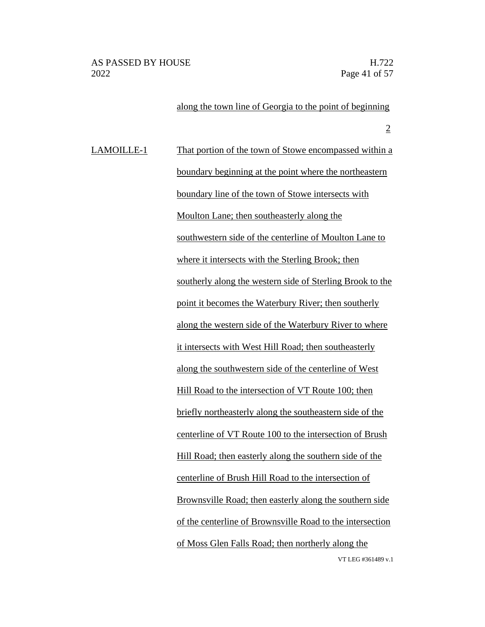VT LEG #361489 v.1 along the town line of Georgia to the point of beginning 2 LAMOILLE-1 That portion of the town of Stowe encompassed within a boundary beginning at the point where the northeastern boundary line of the town of Stowe intersects with Moulton Lane; then southeasterly along the southwestern side of the centerline of Moulton Lane to where it intersects with the Sterling Brook; then southerly along the western side of Sterling Brook to the point it becomes the Waterbury River; then southerly along the western side of the Waterbury River to where it intersects with West Hill Road; then southeasterly along the southwestern side of the centerline of West Hill Road to the intersection of VT Route 100; then briefly northeasterly along the southeastern side of the centerline of VT Route 100 to the intersection of Brush Hill Road; then easterly along the southern side of the centerline of Brush Hill Road to the intersection of Brownsville Road; then easterly along the southern side of the centerline of Brownsville Road to the intersection of Moss Glen Falls Road; then northerly along the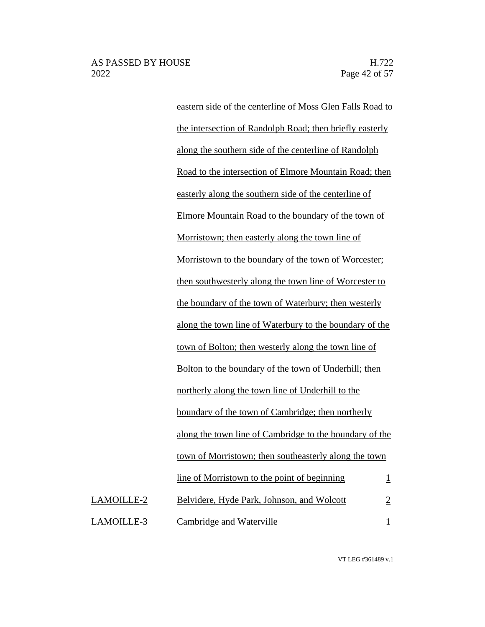eastern side of the centerline of Moss Glen Falls Road to the intersection of Randolph Road; then briefly easterly along the southern side of the centerline of Randolph Road to the intersection of Elmore Mountain Road; then easterly along the southern side of the centerline of Elmore Mountain Road to the boundary of the town of Morristown; then easterly along the town line of Morristown to the boundary of the town of Worcester; then southwesterly along the town line of Worcester to the boundary of the town of Waterbury; then westerly along the town line of Waterbury to the boundary of the town of Bolton; then westerly along the town line of Bolton to the boundary of the town of Underhill; then northerly along the town line of Underhill to the boundary of the town of Cambridge; then northerly along the town line of Cambridge to the boundary of the town of Morristown; then southeasterly along the town  $\lim_{h \to 0}$  of Morristown to the point of beginning 1 LAMOILLE-2 Belvidere, Hyde Park, Johnson, and Wolcott 2 LAMOILLE-3 Cambridge and Waterville 1

VT LEG #361489 v.1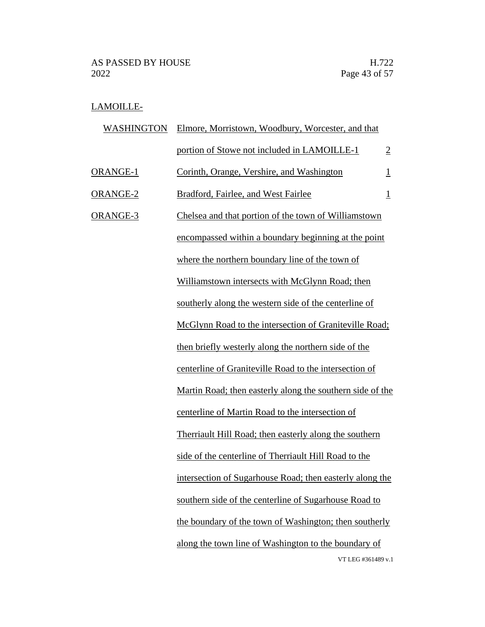# LAMOILLE-

| <b>WASHINGTON</b> | Elmore, Morristown, Woodbury, Worcester, and that         |                |
|-------------------|-----------------------------------------------------------|----------------|
|                   | portion of Stowe not included in LAMOILLE-1               | $\overline{2}$ |
| ORANGE-1          | Corinth, Orange, Vershire, and Washington                 | $\mathbf{1}$   |
| ORANGE-2          | Bradford, Fairlee, and West Fairlee                       | $\overline{1}$ |
| ORANGE-3          | Chelsea and that portion of the town of Williamstown      |                |
|                   | encompassed within a boundary beginning at the point      |                |
|                   | where the northern boundary line of the town of           |                |
|                   | Williamstown intersects with McGlynn Road; then           |                |
|                   | southerly along the western side of the centerline of     |                |
|                   | McGlynn Road to the intersection of Graniteville Road;    |                |
|                   | then briefly westerly along the northern side of the      |                |
|                   | centerline of Graniteville Road to the intersection of    |                |
|                   | Martin Road; then easterly along the southern side of the |                |
|                   | centerline of Martin Road to the intersection of          |                |
|                   | Therriault Hill Road; then easterly along the southern    |                |
|                   | side of the centerline of Therriault Hill Road to the     |                |
|                   | intersection of Sugarhouse Road; then easterly along the  |                |
|                   | southern side of the centerline of Sugarhouse Road to     |                |
|                   | the boundary of the town of Washington; then southerly    |                |
|                   | along the town line of Washington to the boundary of      |                |
|                   | VT LEG #361489 v.1                                        |                |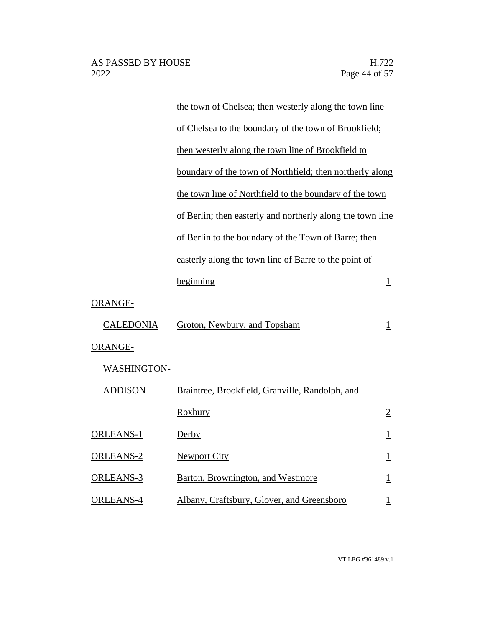|                    | the town of Chelsea; then westerly along the town line     |                          |
|--------------------|------------------------------------------------------------|--------------------------|
|                    | of Chelsea to the boundary of the town of Brookfield;      |                          |
|                    | then westerly along the town line of Brookfield to         |                          |
|                    | boundary of the town of Northfield; then northerly along   |                          |
|                    | the town line of Northfield to the boundary of the town    |                          |
|                    | of Berlin; then easterly and northerly along the town line |                          |
|                    | of Berlin to the boundary of the Town of Barre; then       |                          |
|                    | easterly along the town line of Barre to the point of      |                          |
|                    | beginning                                                  | $\perp$                  |
| ORANGE-            |                                                            |                          |
| <b>CALEDONIA</b>   | Groton, Newbury, and Topsham                               | $\overline{1}$           |
| <b>ORANGE-</b>     |                                                            |                          |
| <b>WASHINGTON-</b> |                                                            |                          |
| <b>ADDISON</b>     | Braintree, Brookfield, Granville, Randolph, and            |                          |
|                    | Roxbury                                                    | $\overline{2}$           |
| <b>ORLEANS-1</b>   | Derby                                                      | $\mathbf{1}$             |
| <b>ORLEANS-2</b>   | <b>Newport City</b>                                        | $\mathbf{\underline{1}}$ |
| <b>ORLEANS-3</b>   | Barton, Brownington, and Westmore                          | $\overline{\mathbf{1}}$  |
| <b>ORLEANS-4</b>   | Albany, Craftsbury, Glover, and Greensboro                 | $\mathbf 1$              |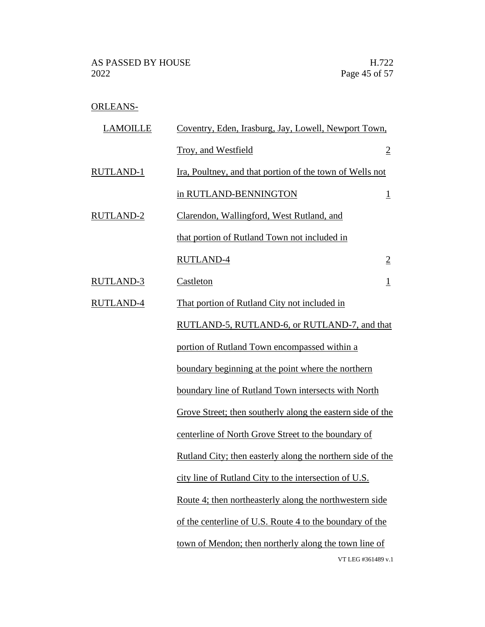# ORLEANS-

| <b>LAMOILLE</b>  | Coventry, Eden, Irasburg, Jay, Lowell, Newport Town,           |
|------------------|----------------------------------------------------------------|
|                  | Troy, and Westfield<br>$\overline{2}$                          |
| <b>RUTLAND-1</b> | Ira, Poultney, and that portion of the town of Wells not       |
|                  | in RUTLAND-BENNINGTON<br>$\overline{\mathbf{1}}$               |
| <b>RUTLAND-2</b> | Clarendon, Wallingford, West Rutland, and                      |
|                  | that portion of Rutland Town not included in                   |
|                  | <b>RUTLAND-4</b><br>$\overline{2}$                             |
| <b>RUTLAND-3</b> | Castleton<br>$\overline{1}$                                    |
| RUTLAND-4        | That portion of Rutland City not included in                   |
|                  | RUTLAND-5, RUTLAND-6, or RUTLAND-7, and that                   |
|                  | portion of Rutland Town encompassed within a                   |
|                  | boundary beginning at the point where the northern             |
|                  | boundary line of Rutland Town intersects with North            |
|                  | Grove Street; then southerly along the eastern side of the     |
|                  | centerline of North Grove Street to the boundary of            |
|                  | Rutland City; then easterly along the northern side of the     |
|                  | city line of Rutland City to the intersection of U.S.          |
|                  | <u>Route 4; then northeasterly along the northwestern side</u> |
|                  | of the centerline of U.S. Route 4 to the boundary of the       |
|                  | town of Mendon; then northerly along the town line of          |
|                  | VT LEG #361489 v.1                                             |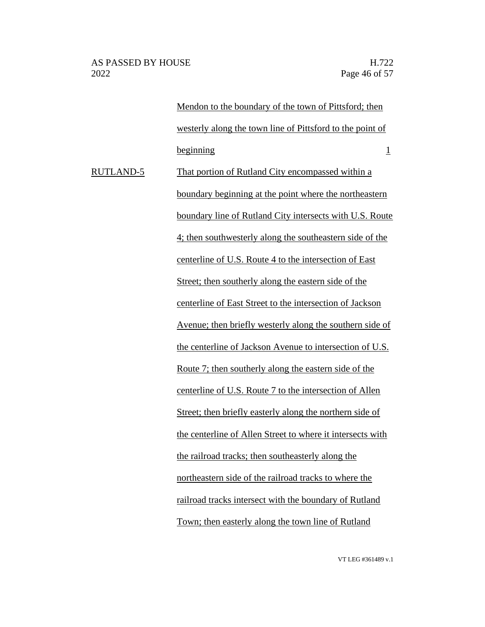AS PASSED BY HOUSE H.722 2022 Page 46 of 57

Mendon to the boundary of the town of Pittsford; then westerly along the town line of Pittsford to the point of beginning 1 RUTLAND-5 That portion of Rutland City encompassed within a boundary beginning at the point where the northeastern boundary line of Rutland City intersects with U.S. Route 4; then southwesterly along the southeastern side of the centerline of U.S. Route 4 to the intersection of East Street; then southerly along the eastern side of the centerline of East Street to the intersection of Jackson Avenue; then briefly westerly along the southern side of the centerline of Jackson Avenue to intersection of U.S. Route 7; then southerly along the eastern side of the centerline of U.S. Route 7 to the intersection of Allen Street; then briefly easterly along the northern side of the centerline of Allen Street to where it intersects with the railroad tracks; then southeasterly along the northeastern side of the railroad tracks to where the railroad tracks intersect with the boundary of Rutland Town; then easterly along the town line of Rutland

VT LEG #361489 v.1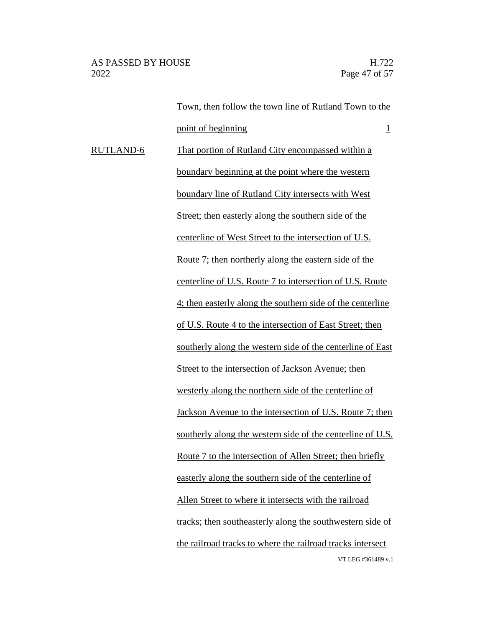VT LEG #361489 v.1 Town, then follow the town line of Rutland Town to the point of beginning 1 RUTLAND-6 That portion of Rutland City encompassed within a boundary beginning at the point where the western boundary line of Rutland City intersects with West Street; then easterly along the southern side of the centerline of West Street to the intersection of U.S. Route 7; then northerly along the eastern side of the centerline of U.S. Route 7 to intersection of U.S. Route 4; then easterly along the southern side of the centerline of U.S. Route 4 to the intersection of East Street; then southerly along the western side of the centerline of East Street to the intersection of Jackson Avenue; then westerly along the northern side of the centerline of Jackson Avenue to the intersection of U.S. Route 7; then southerly along the western side of the centerline of U.S. Route 7 to the intersection of Allen Street; then briefly easterly along the southern side of the centerline of Allen Street to where it intersects with the railroad tracks; then southeasterly along the southwestern side of the railroad tracks to where the railroad tracks intersect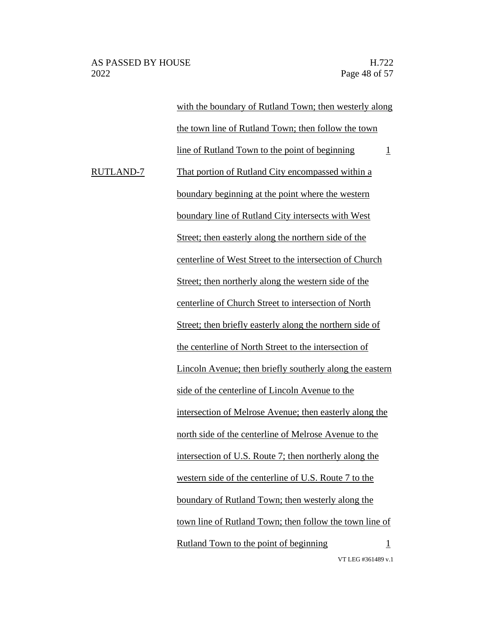VT LEG #361489 v.1 with the boundary of Rutland Town; then westerly along the town line of Rutland Town; then follow the town line of Rutland Town to the point of beginning  $1$ RUTLAND-7 That portion of Rutland City encompassed within a boundary beginning at the point where the western boundary line of Rutland City intersects with West Street; then easterly along the northern side of the centerline of West Street to the intersection of Church Street; then northerly along the western side of the centerline of Church Street to intersection of North Street; then briefly easterly along the northern side of the centerline of North Street to the intersection of Lincoln Avenue; then briefly southerly along the eastern side of the centerline of Lincoln Avenue to the intersection of Melrose Avenue; then easterly along the north side of the centerline of Melrose Avenue to the intersection of U.S. Route 7; then northerly along the western side of the centerline of U.S. Route 7 to the boundary of Rutland Town; then westerly along the town line of Rutland Town; then follow the town line of Rutland Town to the point of beginning  $1$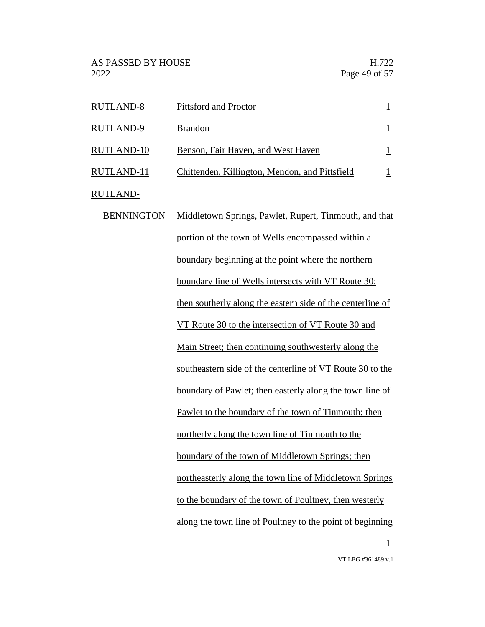| <b>RUTLAND-8</b>  | Pittsford and Proctor                          |  |
|-------------------|------------------------------------------------|--|
| <b>RUTLAND-9</b>  | <b>Brandon</b>                                 |  |
| <b>RUTLAND-10</b> | Benson, Fair Haven, and West Haven             |  |
| RUTLAND-11        | Chittenden, Killington, Mendon, and Pittsfield |  |

RUTLAND-

| <b>BENNINGTON</b> | Middletown Springs, Pawlet, Rupert, Tinmouth, and that     |
|-------------------|------------------------------------------------------------|
|                   | portion of the town of Wells encompassed within a          |
|                   | boundary beginning at the point where the northern         |
|                   | boundary line of Wells intersects with VT Route 30;        |
|                   | then southerly along the eastern side of the centerline of |
|                   | VT Route 30 to the intersection of VT Route 30 and         |
|                   | Main Street; then continuing southwesterly along the       |
|                   | southeastern side of the centerline of VT Route 30 to the  |
|                   | boundary of Pawlet; then easterly along the town line of   |
|                   | Pawlet to the boundary of the town of Tinmouth; then       |
|                   | northerly along the town line of Tinmouth to the           |
|                   | boundary of the town of Middletown Springs; then           |
|                   | northeasterly along the town line of Middletown Springs    |
|                   | to the boundary of the town of Poultney, then westerly     |
|                   | along the town line of Poultney to the point of beginning  |
|                   | $\mathbf{1}$                                               |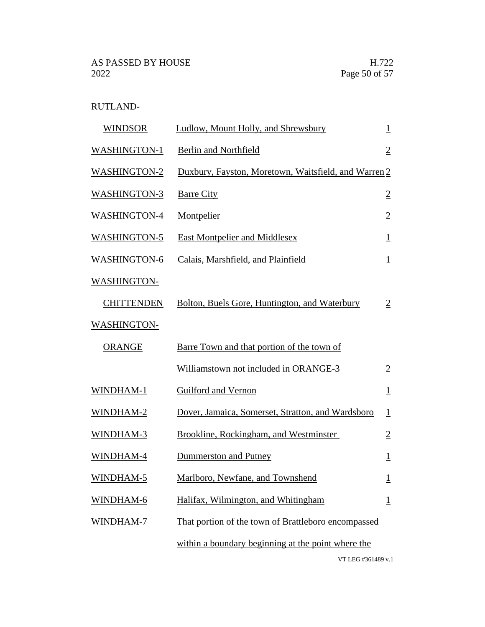RUTLAND-

| <b>WINDSOR</b>      | Ludlow, Mount Holly, and Shrewsbury                  | $\perp$                 |
|---------------------|------------------------------------------------------|-------------------------|
| <b>WASHINGTON-1</b> | <b>Berlin and Northfield</b>                         | $\overline{2}$          |
| <b>WASHINGTON-2</b> | Duxbury, Fayston, Moretown, Waitsfield, and Warren 2 |                         |
| <b>WASHINGTON-3</b> | <b>Barre City</b>                                    | $\overline{2}$          |
| <b>WASHINGTON-4</b> | Montpelier                                           | $\overline{2}$          |
| <b>WASHINGTON-5</b> | <b>East Montpelier and Middlesex</b>                 | $\perp$                 |
| <b>WASHINGTON-6</b> | Calais, Marshfield, and Plainfield                   | $\overline{\mathbf{1}}$ |
| <b>WASHINGTON-</b>  |                                                      |                         |
| <b>CHITTENDEN</b>   | Bolton, Buels Gore, Huntington, and Waterbury        | $\overline{2}$          |
| <b>WASHINGTON-</b>  |                                                      |                         |
| <b>ORANGE</b>       | Barre Town and that portion of the town of           |                         |
|                     | Williamstown not included in ORANGE-3                | $\overline{2}$          |
| WINDHAM-1           | Guilford and Vernon                                  | $\perp$                 |
| WINDHAM-2           | Dover, Jamaica, Somerset, Stratton, and Wardsboro    | $\overline{\mathbf{1}}$ |
| WINDHAM-3           | Brookline, Rockingham, and Westminster               | $\overline{2}$          |
| WINDHAM-4           | Dummerston and Putney                                | $\overline{1}$          |
| WINDHAM-5           | Marlboro, Newfane, and Townshend                     | $\overline{1}$          |
| WINDHAM-6           | Halifax, Wilmington, and Whitingham                  | $\overline{1}$          |
| WINDHAM-7           | That portion of the town of Brattleboro encompassed  |                         |
|                     | within a boundary beginning at the point where the   |                         |
|                     | VT LEG #361489 v.1                                   |                         |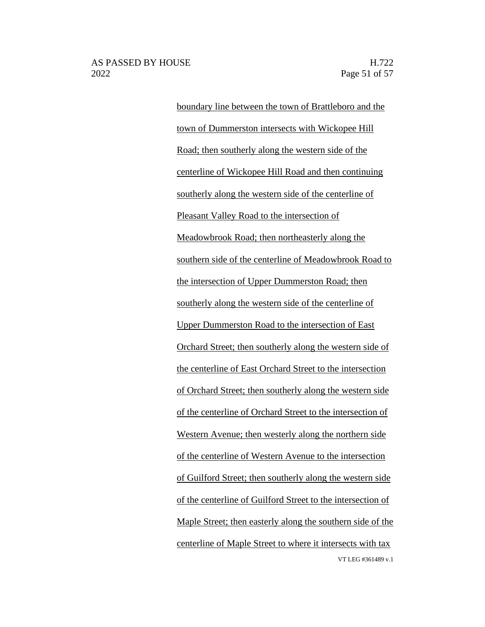VT LEG #361489 v.1 boundary line between the town of Brattleboro and the town of Dummerston intersects with Wickopee Hill Road; then southerly along the western side of the centerline of Wickopee Hill Road and then continuing southerly along the western side of the centerline of Pleasant Valley Road to the intersection of Meadowbrook Road; then northeasterly along the southern side of the centerline of Meadowbrook Road to the intersection of Upper Dummerston Road; then southerly along the western side of the centerline of Upper Dummerston Road to the intersection of East Orchard Street; then southerly along the western side of the centerline of East Orchard Street to the intersection of Orchard Street; then southerly along the western side of the centerline of Orchard Street to the intersection of Western Avenue; then westerly along the northern side of the centerline of Western Avenue to the intersection of Guilford Street; then southerly along the western side of the centerline of Guilford Street to the intersection of Maple Street; then easterly along the southern side of the centerline of Maple Street to where it intersects with tax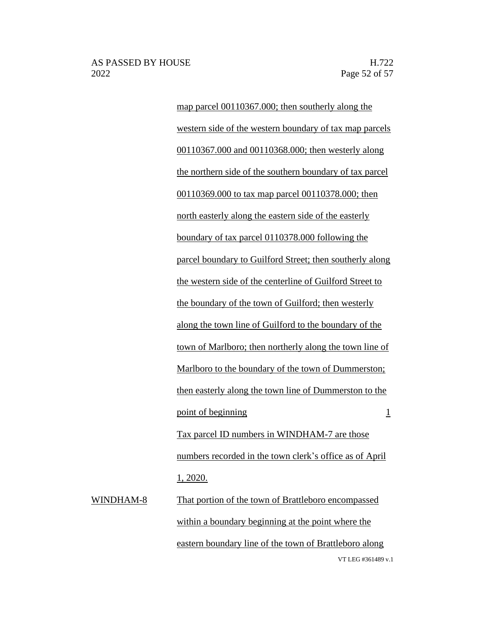map parcel 00110367.000; then southerly along the western side of the western boundary of tax map parcels 00110367.000 and 00110368.000; then westerly along the northern side of the southern boundary of tax parcel 00110369.000 to tax map parcel 00110378.000; then north easterly along the eastern side of the easterly boundary of tax parcel 0110378.000 following the parcel boundary to Guilford Street; then southerly along the western side of the centerline of Guilford Street to the boundary of the town of Guilford; then westerly along the town line of Guilford to the boundary of the town of Marlboro; then northerly along the town line of Marlboro to the boundary of the town of Dummerston; then easterly along the town line of Dummerston to the point of beginning 1 Tax parcel ID numbers in WINDHAM-7 are those numbers recorded in the town clerk's office as of April 1, 2020.

VT LEG #361489 v.1 WINDHAM-8 That portion of the town of Brattleboro encompassed within a boundary beginning at the point where the eastern boundary line of the town of Brattleboro along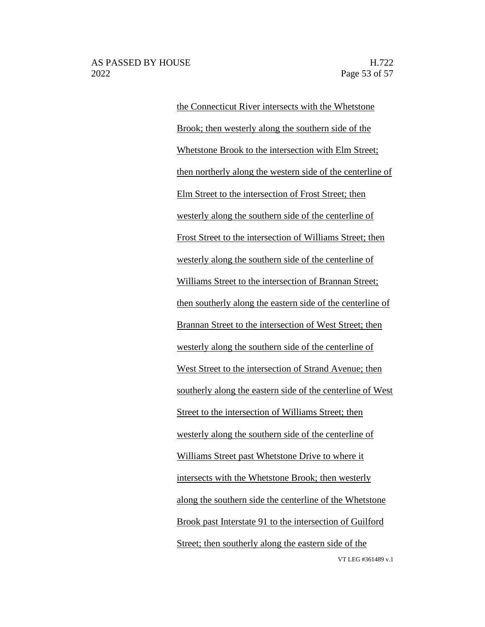VT LEG #361489 v.1 the Connecticut River intersects with the Whetstone Brook; then westerly along the southern side of the Whetstone Brook to the intersection with Elm Street; then northerly along the western side of the centerline of Elm Street to the intersection of Frost Street; then westerly along the southern side of the centerline of Frost Street to the intersection of Williams Street; then westerly along the southern side of the centerline of Williams Street to the intersection of Brannan Street; then southerly along the eastern side of the centerline of Brannan Street to the intersection of West Street; then westerly along the southern side of the centerline of West Street to the intersection of Strand Avenue; then southerly along the eastern side of the centerline of West Street to the intersection of Williams Street; then westerly along the southern side of the centerline of Williams Street past Whetstone Drive to where it intersects with the Whetstone Brook; then westerly along the southern side the centerline of the Whetstone Brook past Interstate 91 to the intersection of Guilford Street; then southerly along the eastern side of the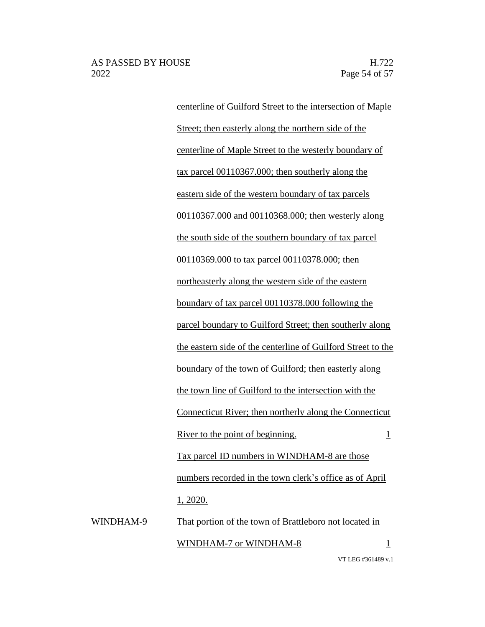centerline of Guilford Street to the intersection of Maple Street; then easterly along the northern side of the centerline of Maple Street to the westerly boundary of tax parcel 00110367.000; then southerly along the eastern side of the western boundary of tax parcels 00110367.000 and 00110368.000; then westerly along the south side of the southern boundary of tax parcel 00110369.000 to tax parcel 00110378.000; then northeasterly along the western side of the eastern boundary of tax parcel 00110378.000 following the parcel boundary to Guilford Street; then southerly along the eastern side of the centerline of Guilford Street to the boundary of the town of Guilford; then easterly along the town line of Guilford to the intersection with the Connecticut River; then northerly along the Connecticut River to the point of beginning.  $\frac{1}{1}$ Tax parcel ID numbers in WINDHAM-8 are those numbers recorded in the town clerk's office as of April 1, 2020. WINDHAM-9 That portion of the town of Brattleboro not located in

WINDHAM-7 or WINDHAM-8 1

VT LEG #361489 v.1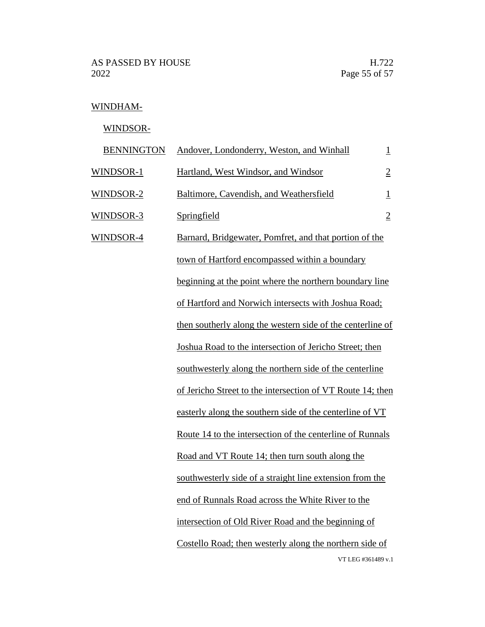# WINDHAM-

# WINDSOR-

| <b>BENNINGTON</b> | Andover, Londonderry, Weston, and Winhall                  | $\overline{1}$ |
|-------------------|------------------------------------------------------------|----------------|
| WINDSOR-1         | Hartland, West Windsor, and Windsor                        | $\overline{2}$ |
| WINDSOR-2         | Baltimore, Cavendish, and Weathersfield                    | $\overline{1}$ |
| WINDSOR-3         | Springfield                                                | $\overline{2}$ |
| <b>WINDSOR-4</b>  | Barnard, Bridgewater, Pomfret, and that portion of the     |                |
|                   | town of Hartford encompassed within a boundary             |                |
|                   | beginning at the point where the northern boundary line    |                |
|                   | of Hartford and Norwich intersects with Joshua Road;       |                |
|                   | then southerly along the western side of the centerline of |                |
|                   | Joshua Road to the intersection of Jericho Street; then    |                |
|                   | southwesterly along the northern side of the centerline    |                |
|                   | of Jericho Street to the intersection of VT Route 14; then |                |
|                   | easterly along the southern side of the centerline of VT   |                |
|                   | Route 14 to the intersection of the centerline of Runnals  |                |
|                   | Road and VT Route 14; then turn south along the            |                |
|                   | southwesterly side of a straight line extension from the   |                |
|                   | end of Runnals Road across the White River to the          |                |
|                   | intersection of Old River Road and the beginning of        |                |
|                   | Costello Road; then westerly along the northern side of    |                |
|                   | VT LEG #361489 v.1                                         |                |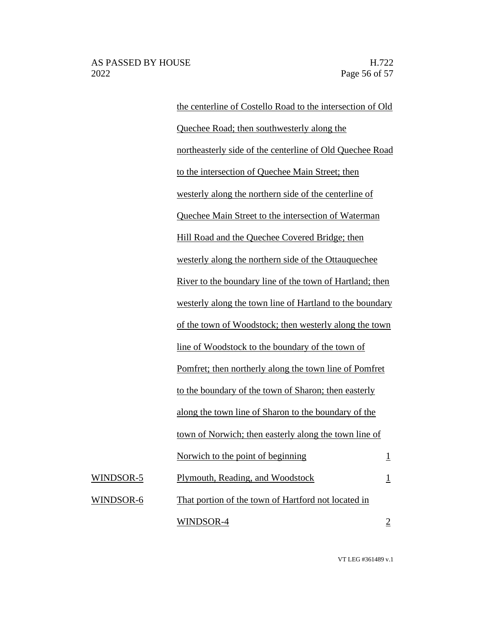#### AS PASSED BY HOUSE H.722 2022 Page 56 of 57

the centerline of Costello Road to the intersection of Old Quechee Road; then southwesterly along the northeasterly side of the centerline of Old Quechee Road to the intersection of Quechee Main Street; then westerly along the northern side of the centerline of Quechee Main Street to the intersection of Waterman Hill Road and the Quechee Covered Bridge; then westerly along the northern side of the Ottauquechee River to the boundary line of the town of Hartland; then westerly along the town line of Hartland to the boundary of the town of Woodstock; then westerly along the town line of Woodstock to the boundary of the town of Pomfret; then northerly along the town line of Pomfret to the boundary of the town of Sharon; then easterly along the town line of Sharon to the boundary of the town of Norwich; then easterly along the town line of Norwich to the point of beginning  $1$ WINDSOR-5 Plymouth, Reading, and Woodstock 1 WINDSOR-6 That portion of the town of Hartford not located in WINDSOR- $4$  2